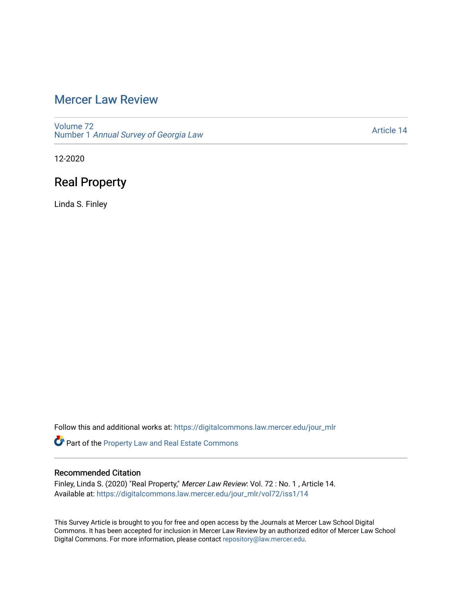# [Mercer Law Review](https://digitalcommons.law.mercer.edu/jour_mlr)

[Volume 72](https://digitalcommons.law.mercer.edu/jour_mlr/vol72) Number 1 [Annual Survey of Georgia Law](https://digitalcommons.law.mercer.edu/jour_mlr/vol72/iss1) 

[Article 14](https://digitalcommons.law.mercer.edu/jour_mlr/vol72/iss1/14) 

12-2020

# Real Property

Linda S. Finley

Follow this and additional works at: [https://digitalcommons.law.mercer.edu/jour\\_mlr](https://digitalcommons.law.mercer.edu/jour_mlr?utm_source=digitalcommons.law.mercer.edu%2Fjour_mlr%2Fvol72%2Fiss1%2F14&utm_medium=PDF&utm_campaign=PDFCoverPages)

Part of the [Property Law and Real Estate Commons](http://network.bepress.com/hgg/discipline/897?utm_source=digitalcommons.law.mercer.edu%2Fjour_mlr%2Fvol72%2Fiss1%2F14&utm_medium=PDF&utm_campaign=PDFCoverPages) 

## Recommended Citation

Finley, Linda S. (2020) "Real Property," Mercer Law Review: Vol. 72 : No. 1 , Article 14. Available at: [https://digitalcommons.law.mercer.edu/jour\\_mlr/vol72/iss1/14](https://digitalcommons.law.mercer.edu/jour_mlr/vol72/iss1/14?utm_source=digitalcommons.law.mercer.edu%2Fjour_mlr%2Fvol72%2Fiss1%2F14&utm_medium=PDF&utm_campaign=PDFCoverPages) 

This Survey Article is brought to you for free and open access by the Journals at Mercer Law School Digital Commons. It has been accepted for inclusion in Mercer Law Review by an authorized editor of Mercer Law School Digital Commons. For more information, please contact [repository@law.mercer.edu](mailto:repository@law.mercer.edu).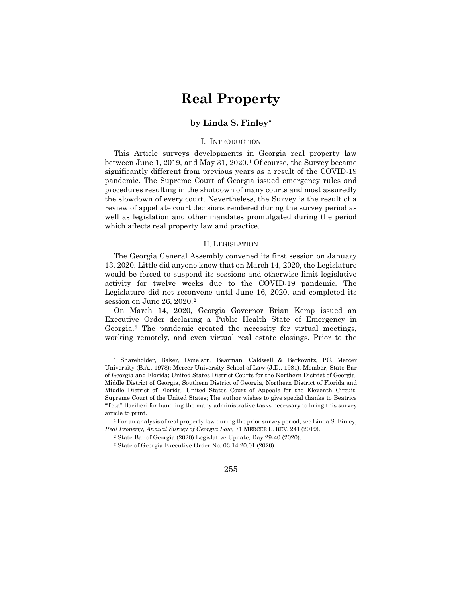# **Real Property**

## **by Linda S. Finley[\\*](#page-1-0)**

#### I. INTRODUCTION

This Article surveys developments in Georgia real property law between June [1](#page-1-1), 2019, and May  $31, 2020$ .<sup>1</sup> Of course, the Survey became significantly different from previous years as a result of the COVID-19 pandemic. The Supreme Court of Georgia issued emergency rules and procedures resulting in the shutdown of many courts and most assuredly the slowdown of every court. Nevertheless, the Survey is the result of a review of appellate court decisions rendered during the survey period as well as legislation and other mandates promulgated during the period which affects real property law and practice.

#### II. LEGISLATION

The Georgia General Assembly convened its first session on January 13, 2020. Little did anyone know that on March 14, 2020, the Legislature would be forced to suspend its sessions and otherwise limit legislative activity for twelve weeks due to the COVID-19 pandemic. The Legislature did not reconvene until June 16, 2020, and completed its session on June [2](#page-1-2)6, 2020.<sup>2</sup>

On March 14, 2020, Georgia Governor Brian Kemp issued an Executive Order declaring a Public Health State of Emergency in Georgia.[3](#page-1-3) The pandemic created the necessity for virtual meetings, working remotely, and even virtual real estate closings. Prior to the

<span id="page-1-0"></span><sup>\*</sup> Shareholder, Baker, Donelson, Bearman, Caldwell & Berkowitz, PC. Mercer University (B.A., 1978); Mercer University School of Law (J.D., 1981). Member, State Bar of Georgia and Florida; United States District Courts for the Northern District of Georgia, Middle District of Georgia, Southern District of Georgia, Northern District of Florida and Middle District of Florida, United States Court of Appeals for the Eleventh Circuit; Supreme Court of the United States; The author wishes to give special thanks to Beatrice "Teta" Bacilieri for handling the many administrative tasks necessary to bring this survey article to print.

<span id="page-1-3"></span><span id="page-1-2"></span><span id="page-1-1"></span><sup>&</sup>lt;sup>1</sup> For an analysis of real property law during the prior survey period, see Linda S. Finley, *Real Property*, *Annual Survey of Georgia Law*, 71 MERCER L. REV. 241 (2019).

<sup>2</sup> State Bar of Georgia (2020) Legislative Update, Day 29-40 (2020).

<sup>3</sup> State of Georgia Executive Order No. 03.14.20.01 (2020).

<sup>255</sup>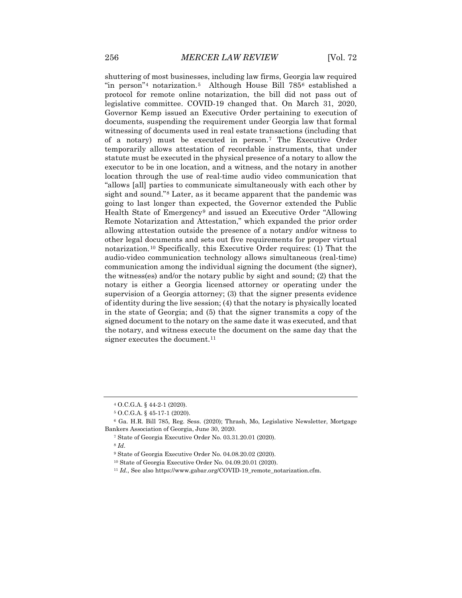shuttering of most businesses, including law firms, Georgia law required "in person"[4](#page-2-0) notarization.[5](#page-2-1) Although House Bill 785[6](#page-2-2) established a protocol for remote online notarization, the bill did not pass out of legislative committee. COVID-19 changed that. On March 31, 2020, Governor Kemp issued an Executive Order pertaining to execution of documents, suspending the requirement under Georgia law that formal witnessing of documents used in real estate transactions (including that of a notary) must be executed in person.[7](#page-2-3) The Executive Order temporarily allows attestation of recordable instruments, that under statute must be executed in the physical presence of a notary to allow the executor to be in one location, and a witness, and the notary in another location through the use of real-time audio video communication that "allows [all] parties to communicate simultaneously with each other by sight and sound."[8](#page-2-4) Later, as it became apparent that the pandemic was going to last longer than expected, the Governor extended the Public Health State of Emergency[9](#page-2-5) and issued an Executive Order "Allowing Remote Notarization and Attestation," which expanded the prior order allowing attestation outside the presence of a notary and/or witness to other legal documents and sets out five requirements for proper virtual notarization.[10](#page-2-6) Specifically, this Executive Order requires: (1) That the audio-video communication technology allows simultaneous (real-time) communication among the individual signing the document (the signer), the witness(es) and/or the notary public by sight and sound; (2) that the notary is either a Georgia licensed attorney or operating under the supervision of a Georgia attorney; (3) that the signer presents evidence of identity during the live session; (4) that the notary is physically located in the state of Georgia; and (5) that the signer transmits a copy of the signed document to the notary on the same date it was executed, and that the notary, and witness execute the document on the same day that the signer executes the document.<sup>[11](#page-2-7)</sup>

<sup>4</sup> O.C.G.A. § 44-2-1 (2020).

<sup>5</sup> O.C.G.A. § 45-17-1 (2020).

<span id="page-2-6"></span><span id="page-2-5"></span><span id="page-2-4"></span><span id="page-2-3"></span><span id="page-2-2"></span><span id="page-2-1"></span><span id="page-2-0"></span><sup>6</sup> Ga. H.R. Bill 785, Reg. Sess. (2020); Thrash, Mo, Legislative Newsletter, Mortgage Bankers Association of Georgia, June 30, 2020.

<sup>7</sup> State of Georgia Executive Order No. 03.31.20.01 (2020).

<sup>9</sup> State of Georgia Executive Order No. 04.08.20.02 (2020).

<sup>10</sup> State of Georgia Executive Order No. 04.09.20.01 (2020).

<span id="page-2-7"></span><sup>&</sup>lt;sup>11</sup> *Id.*, See also https://www.gabar.org/COVID-19\_remote\_notarization.cfm.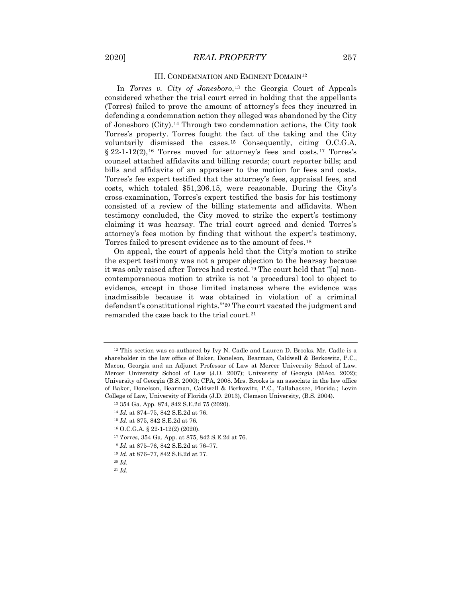#### III. CONDEMNATION AND EMINENT DOMAIN[12](#page-3-0)

In *Torres v. City of Jonesboro*,<sup>[13](#page-3-1)</sup> the Georgia Court of Appeals considered whether the trial court erred in holding that the appellants (Torres) failed to prove the amount of attorney's fees they incurred in defending a condemnation action they alleged was abandoned by the City of Jonesboro (City).[14](#page-3-2) Through two condemnation actions, the City took Torres's property. Torres fought the fact of the taking and the City voluntarily dismissed the cases.[15](#page-3-3) Consequently, citing O.C.G.A. § 22-1-12(2),<sup>[16](#page-3-4)</sup> Torres moved for attorney's fees and costs.<sup>[17](#page-3-5)</sup> Torres's counsel attached affidavits and billing records; court reporter bills; and bills and affidavits of an appraiser to the motion for fees and costs. Torres's fee expert testified that the attorney's fees, appraisal fees, and costs, which totaled \$51,206.15, were reasonable. During the City's cross-examination, Torres's expert testified the basis for his testimony consisted of a review of the billing statements and affidavits. When testimony concluded, the City moved to strike the expert's testimony claiming it was hearsay. The trial court agreed and denied Torres's attorney's fees motion by finding that without the expert's testimony, Torres failed to present evidence as to the amount of fees.[18](#page-3-6)

On appeal, the court of appeals held that the City's motion to strike the expert testimony was not a proper objection to the hearsay because it was only raised after Torres had rested.<sup>[19](#page-3-7)</sup> The court held that "[a] noncontemporaneous motion to strike is not 'a procedural tool to object to evidence, except in those limited instances where the evidence was inadmissible because it was obtained in violation of a criminal defendant's constitutional rights.'"[20](#page-3-8) The court vacated the judgment and remanded the case back to the trial court.[21](#page-3-9)

<span id="page-3-0"></span><sup>12</sup> This section was co-authored by Ivy N. Cadle and Lauren D. Brooks. Mr. Cadle is a shareholder in the law office of Baker, Donelson, Bearman, Caldwell & Berkowitz, P.C., Macon, Georgia and an Adjunct Professor of Law at Mercer University School of Law. Mercer University School of Law (J.D. 2007); University of Georgia (MAcc. 2002); University of Georgia (B.S. 2000); CPA, 2008. Mrs. Brooks is an associate in the law office of Baker, Donelson, Bearman, Caldwell & Berkowitz, P.C., Tallahassee, Florida.; Levin College of Law, University of Florida (J.D. 2013), Clemson University, (B.S. 2004).

<span id="page-3-1"></span><sup>13</sup> 354 Ga. App. 874, 842 S.E.2d 75 (2020).

<span id="page-3-2"></span><sup>14</sup> *Id.* at 874–75, 842 S.E.2d at 76.

<span id="page-3-3"></span><sup>15</sup> *Id*. at 875, 842 S.E.2d at 76.

<sup>16</sup> O.C.G.A. § 22-1-12(2) (2020).

<span id="page-3-5"></span><span id="page-3-4"></span><sup>17</sup> *Torres*, 354 Ga. App. at 875, 842 S.E.2d at 76.

<sup>18</sup> *Id*. at 875–76, 842 S.E.2d at 76–77.

<span id="page-3-7"></span><span id="page-3-6"></span><sup>19</sup> *Id*. at 876–77, 842 S.E.2d at 77.

<span id="page-3-9"></span><span id="page-3-8"></span><sup>20</sup> *Id*.

<sup>21</sup> *Id*.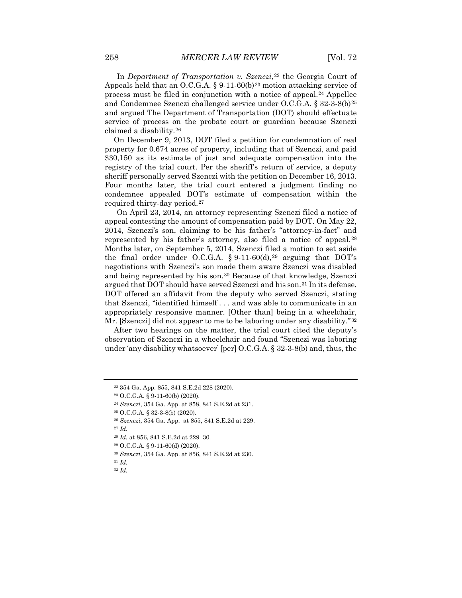In *Department of Transportation v. Szenczi*,<sup>[22](#page-4-0)</sup> the Georgia Court of Appeals held that an O.C.G.A. § 9-11-60(b)<sup>[23](#page-4-1)</sup> motion attacking service of process must be filed in conjunction with a notice of appeal.[24](#page-4-2) Appellee and Condemnee Szenczi challenged service under O.C.G.A. § 32-3-8(b)[25](#page-4-3) and argued The Department of Transportation (DOT) should effectuate service of process on the probate court or guardian because Szenczi claimed a disability.[26](#page-4-4)

On December 9, 2013, DOT filed a petition for condemnation of real property for 0.674 acres of property, including that of Szenczi, and paid \$30,150 as its estimate of just and adequate compensation into the registry of the trial court. Per the sheriff's return of service, a deputy sheriff personally served Szenczi with the petition on December 16, 2013. Four months later, the trial court entered a judgment finding no condemnee appealed DOT's estimate of compensation within the required thirty-day period.[27](#page-4-5)

On April 23, 2014, an attorney representing Szenczi filed a notice of appeal contesting the amount of compensation paid by DOT. On May 22, 2014, Szenczi's son, claiming to be his father's "attorney-in-fact" and represented by his father's attorney, also filed a notice of appeal.[28](#page-4-6) Months later, on September 5, 2014, Szenczi filed a motion to set aside the final order under O.C.G.A. § 9-11-60(d),<sup>[29](#page-4-7)</sup> arguing that DOT's negotiations with Szenczi's son made them aware Szenczi was disabled and being represented by his son.[30](#page-4-8) Because of that knowledge, Szenczi argued that DOT should have served Szenczi and his son.[31](#page-4-9) In its defense, DOT offered an affidavit from the deputy who served Szenczi, stating that Szenczi, "identified himself . . . and was able to communicate in an appropriately responsive manner. [Other than] being in a wheelchair, Mr. [Szenczi] did not appear to me to be laboring under any disability.<sup>"[32](#page-4-10)</sup>

After two hearings on the matter, the trial court cited the deputy's observation of Szenczi in a wheelchair and found "Szenczi was laboring under 'any disability whatsoever' [per] O.C.G.A. § 32-3-8(b) and, thus, the

<span id="page-4-0"></span><sup>22</sup> 354 Ga. App. 855, 841 S.E.2d 228 (2020).

<span id="page-4-1"></span><sup>23</sup> O.C.G.A. § 9-11-60(b) (2020).

<span id="page-4-2"></span><sup>24</sup> *Szenczi*, 354 Ga. App. at 858, 841 S.E.2d at 231.

<span id="page-4-4"></span><span id="page-4-3"></span><sup>25</sup> O.C.G.A. § 32-3-8(b) (2020).

<sup>26</sup> *Szenczi*, 354 Ga. App. at 855, 841 S.E.2d at 229.

<span id="page-4-6"></span><span id="page-4-5"></span><sup>28</sup> *Id.* at 856, 841 S.E.2d at 229–30.

<sup>29</sup> O.C.G.A. § 9-11-60(d) (2020).

<span id="page-4-9"></span><span id="page-4-8"></span><span id="page-4-7"></span><sup>30</sup> *Szenczi*, 354 Ga. App. at 856, 841 S.E.2d at 230.

<span id="page-4-10"></span><sup>31</sup> *Id.*

<sup>32</sup> *Id.*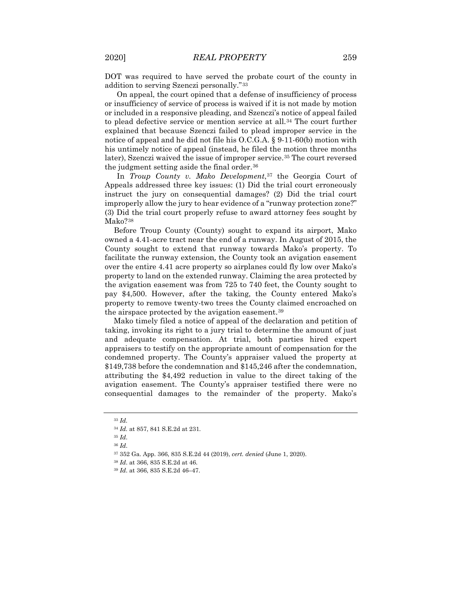DOT was required to have served the probate court of the county in addition to serving Szenczi personally."[33](#page-5-0)

On appeal, the court opined that a defense of insufficiency of process or insufficiency of service of process is waived if it is not made by motion or included in a responsive pleading, and Szenczi's notice of appeal failed to plead defective service or mention service at all.[34](#page-5-1) The court further explained that because Szenczi failed to plead improper service in the notice of appeal and he did not file his O.C.G.A. § 9-11-60(b) motion with his untimely notice of appeal (instead, he filed the motion three months later), Szenczi waived the issue of improper service.<sup>[35](#page-5-2)</sup> The court reversed the judgment setting aside the final order.[36](#page-5-3)

In *Troup County v. Mako Development*,<sup>[37](#page-5-4)</sup> the Georgia Court of Appeals addressed three key issues: (1) Did the trial court erroneously instruct the jury on consequential damages? (2) Did the trial court improperly allow the jury to hear evidence of a "runway protection zone?" (3) Did the trial court properly refuse to award attorney fees sought by Mako?[38](#page-5-5)

Before Troup County (County) sought to expand its airport, Mako owned a 4.41-acre tract near the end of a runway. In August of 2015, the County sought to extend that runway towards Mako's property. To facilitate the runway extension, the County took an avigation easement over the entire 4.41 acre property so airplanes could fly low over Mako's property to land on the extended runway. Claiming the area protected by the avigation easement was from 725 to 740 feet, the County sought to pay \$4,500. However, after the taking, the County entered Mako's property to remove twenty-two trees the County claimed encroached on the airspace protected by the avigation easement.[39](#page-5-6)

Mako timely filed a notice of appeal of the declaration and petition of taking, invoking its right to a jury trial to determine the amount of just and adequate compensation. At trial, both parties hired expert appraisers to testify on the appropriate amount of compensation for the condemned property. The County's appraiser valued the property at \$149,738 before the condemnation and \$145,246 after the condemnation, attributing the \$4,492 reduction in value to the direct taking of the avigation easement. The County's appraiser testified there were no consequential damages to the remainder of the property. Mako's

<span id="page-5-0"></span><sup>33</sup> *Id.* 

<span id="page-5-1"></span><sup>34</sup> *Id.* at 857, 841 S.E.2d at 231.

<span id="page-5-3"></span><span id="page-5-2"></span><sup>35</sup> *Id*.

<span id="page-5-4"></span><sup>37</sup> 352 Ga. App. 366, 835 S.E.2d 44 (2019), *cert. denied* (June 1, 2020).

<span id="page-5-5"></span><sup>38</sup> *Id*. at 366, 835 S.E.2d at 46.

<span id="page-5-6"></span><sup>39</sup> *Id*. at 366, 835 S.E.2d 46–47.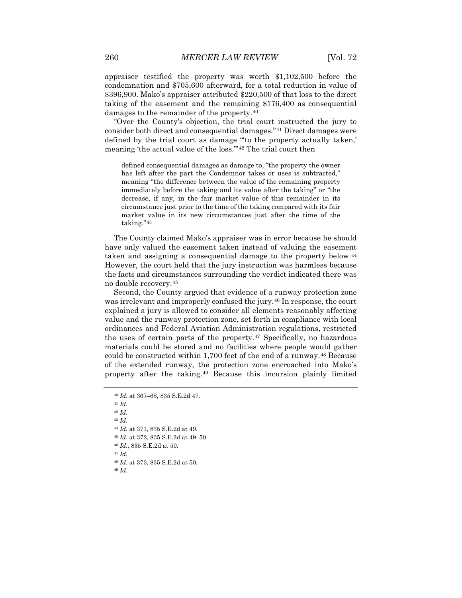appraiser testified the property was worth \$1,102,500 before the condemnation and \$705,600 afterward, for a total reduction in value of \$396,900. Mako's appraiser attributed \$220,500 of that loss to the direct taking of the easement and the remaining \$176,400 as consequential damages to the remainder of the property.[40](#page-6-0)

"Over the County's objection, the trial court instructed the jury to consider both direct and consequential damages."[41](#page-6-1) Direct damages were defined by the trial court as damage "'to the property actually taken,' meaning 'the actual value of the loss.'"[42](#page-6-2) The trial court then

defined consequential damages as damage to, "the property the owner has left after the part the Condemnor takes or uses is subtracted," meaning "the difference between the value of the remaining property immediately before the taking and its value after the taking" or "the decrease, if any, in the fair market value of this remainder in its circumstance just prior to the time of the taking compared with its fair market value in its new circumstances just after the time of the taking."[43](#page-6-3)

The County claimed Mako's appraiser was in error because he should have only valued the easement taken instead of valuing the easement taken and assigning a consequential damage to the property below.<sup>[44](#page-6-4)</sup> However, the court held that the jury instruction was harmless because the facts and circumstances surrounding the verdict indicated there was no double recovery.[45](#page-6-5)

Second, the County argued that evidence of a runway protection zone was irrelevant and improperly confused the jury.<sup>[46](#page-6-6)</sup> In response, the court explained a jury is allowed to consider all elements reasonably affecting value and the runway protection zone, set forth in compliance with local ordinances and Federal Aviation Administration regulations, restricted the uses of certain parts of the property[.47](#page-6-7) Specifically, no hazardous materials could be stored and no facilities where people would gather could be constructed within 1,700 feet of the end of a runway.<sup>[48](#page-6-8)</sup> Because of the extended runway, the protection zone encroached into Mako's property after the taking.[49](#page-6-9) Because this incursion plainly limited

<span id="page-6-1"></span><span id="page-6-0"></span><sup>41</sup> *Id*.

<span id="page-6-2"></span><sup>42</sup> *Id*.

<span id="page-6-4"></span><span id="page-6-3"></span><sup>43</sup> *Id*.

<span id="page-6-9"></span><span id="page-6-8"></span><span id="page-6-7"></span><sup>49</sup> *Id*.

<span id="page-6-6"></span><span id="page-6-5"></span> *Id.* at 371, 835 S.E.2d at 49. *Id*. at 372, 835 S.E.2d at 49–50. *Id*., 835 S.E.2d at 50. <sup>47</sup> *Id*. *Id*. at 373, 835 S.E.2d at 50.

<sup>40</sup> *Id*. at 367–68, 835 S.E.2d 47.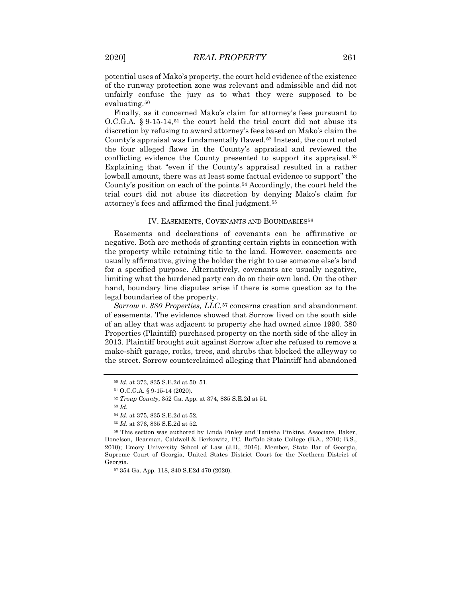potential uses of Mako's property, the court held evidence of the existence of the runway protection zone was relevant and admissible and did not unfairly confuse the jury as to what they were supposed to be evaluating.<sup>[50](#page-7-0)</sup>

Finally, as it concerned Mako's claim for attorney's fees pursuant to  $O.C.G.A. \S 9.15.14<sup>51</sup>$  $O.C.G.A. \S 9.15.14<sup>51</sup>$  $O.C.G.A. \S 9.15.14<sup>51</sup>$  the court held the trial court did not abuse its discretion by refusing to award attorney's fees based on Mako's claim the County's appraisal was fundamentally flawed.[52](#page-7-2) Instead, the court noted the four alleged flaws in the County's appraisal and reviewed the conflicting evidence the County presented to support its appraisal.<sup>[53](#page-7-3)</sup> Explaining that "even if the County's appraisal resulted in a rather lowball amount, there was at least some factual evidence to support" the County's position on each of the points.[54](#page-7-4) Accordingly, the court held the trial court did not abuse its discretion by denying Mako's claim for attorney's fees and affirmed the final judgment.[55](#page-7-5)

#### IV. EASEMENTS, COVENANTS AND BOUNDARIES<sup>[56](#page-7-6)</sup>

Easements and declarations of covenants can be affirmative or negative. Both are methods of granting certain rights in connection with the property while retaining title to the land. However, easements are usually affirmative, giving the holder the right to use someone else's land for a specified purpose. Alternatively, covenants are usually negative, limiting what the burdened party can do on their own land. On the other hand, boundary line disputes arise if there is some question as to the legal boundaries of the property.

*Sorrow v. 380 Properties, LLC*,<sup>[57](#page-7-7)</sup> concerns creation and abandonment of easements. The evidence showed that Sorrow lived on the south side of an alley that was adjacent to property she had owned since 1990. 380 Properties (Plaintiff) purchased property on the north side of the alley in 2013. Plaintiff brought suit against Sorrow after she refused to remove a make-shift garage, rocks, trees, and shrubs that blocked the alleyway to the street. Sorrow counterclaimed alleging that Plaintiff had abandoned

<span id="page-7-0"></span><sup>50</sup> *Id*. at 373, 835 S.E.2d at 50–51.

<sup>51</sup> O.C.G.A. § 9-15-14 (2020).

<sup>52</sup> *Troup County*, 352 Ga. App. at 374, 835 S.E.2d at 51.

<sup>54</sup> *Id*. at 375, 835 S.E.2d at 52.

<sup>55</sup> *Id*. at 376, 835 S.E.2d at 52.

<span id="page-7-7"></span><span id="page-7-6"></span><span id="page-7-5"></span><span id="page-7-4"></span><span id="page-7-3"></span><span id="page-7-2"></span><span id="page-7-1"></span><sup>56</sup> This section was authored by Linda Finley and Tanisha Pinkins, Associate, Baker, Donelson, Bearman, Caldwell & Berkowitz, PC. Buffalo State College (B.A., 2010; B.S., 2010); Emory University School of Law (J.D., 2016). Member, State Bar of Georgia, Supreme Court of Georgia, United States District Court for the Northern District of Georgia.

<sup>57</sup> 354 Ga. App. 118, 840 S.E2d 470 (2020).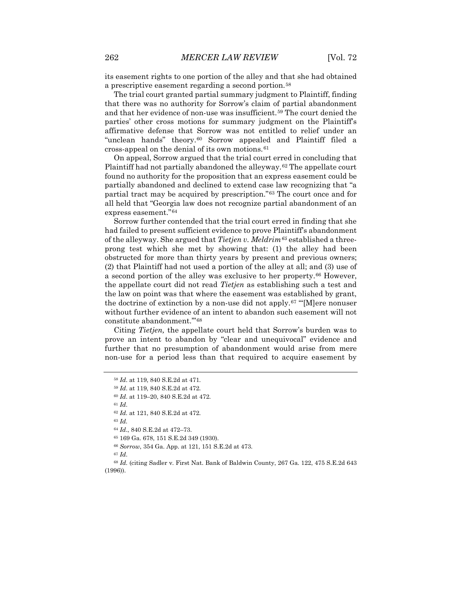its easement rights to one portion of the alley and that she had obtained a prescriptive easement regarding a second portion.[58](#page-8-0)

The trial court granted partial summary judgment to Plaintiff, finding that there was no authority for Sorrow's claim of partial abandonment and that her evidence of non-use was insufficient.<sup>[59](#page-8-1)</sup> The court denied the parties' other cross motions for summary judgment on the Plaintiff's affirmative defense that Sorrow was not entitled to relief under an "unclean hands" theory.<sup>[60](#page-8-2)</sup> Sorrow appealed and Plaintiff filed a cross-appeal on the denial of its own motions.[61](#page-8-3)

On appeal, Sorrow argued that the trial court erred in concluding that Plaintiff had not partially abandoned the alleyway.<sup>[62](#page-8-4)</sup> The appellate court found no authority for the proposition that an express easement could be partially abandoned and declined to extend case law recognizing that "a partial tract may be acquired by prescription."[63](#page-8-5) The court once and for all held that "Georgia law does not recognize partial abandonment of an express easement."[64](#page-8-6)

Sorrow further contended that the trial court erred in finding that she had failed to present sufficient evidence to prove Plaintiff's abandonment of the alleyway. She argued that *Tietjen v. Meldrim[65](#page-8-7)* established a threeprong test which she met by showing that: (1) the alley had been obstructed for more than thirty years by present and previous owners; (2) that Plaintiff had not used a portion of the alley at all; and (3) use of a second portion of the alley was exclusive to her property.[66](#page-8-8) However, the appellate court did not read *Tietjen* as establishing such a test and the law on point was that where the easement was established by grant, the doctrine of extinction by a non-use did not apply.[67](#page-8-9) "'[M]ere nonuser without further evidence of an intent to abandon such easement will not constitute abandonment.'"[68](#page-8-10)

Citing *Tietjen,* the appellate court held that Sorrow's burden was to prove an intent to abandon by "clear and unequivocal" evidence and further that no presumption of abandonment would arise from mere non-use for a period less than that required to acquire easement by

<sup>61</sup> *Id*.

<sup>63</sup> *Id.*

<sup>58</sup> *Id*. at 119, 840 S.E.2d at 471.

<span id="page-8-3"></span><span id="page-8-2"></span><span id="page-8-1"></span><span id="page-8-0"></span><sup>59</sup> *Id*. at 119, 840 S.E.2d at 472.

<sup>60</sup> *Id*. at 119–20, 840 S.E.2d at 472.

<span id="page-8-4"></span><sup>62</sup> *Id.* at 121, 840 S.E.2d at 472.

<sup>64</sup> *Id*., 840 S.E.2d at 472–73.

<sup>65</sup> 169 Ga. 678, 151 S.E.2d 349 (1930).

<sup>66</sup> *Sorrow*, 354 Ga. App. at 121, 151 S.E.2d at 473.

<span id="page-8-10"></span><span id="page-8-9"></span><span id="page-8-8"></span><span id="page-8-7"></span><span id="page-8-6"></span><span id="page-8-5"></span><sup>68</sup> *Id.* (citing Sadler v. First Nat. Bank of Baldwin County, 267 Ga. 122, 475 S.E.2d 643 (1996)).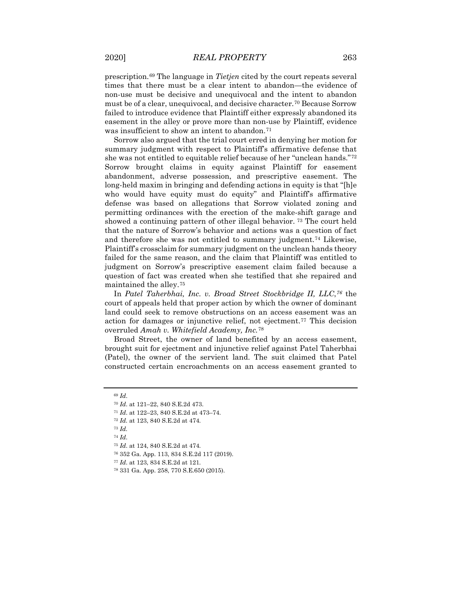prescription.[69](#page-9-0) The language in *Tietjen* cited by the court repeats several times that there must be a clear intent to abandon—the evidence of non-use must be decisive and unequivocal and the intent to abandon must be of a clear, unequivocal, and decisive character.[70](#page-9-1) Because Sorrow failed to introduce evidence that Plaintiff either expressly abandoned its easement in the alley or prove more than non-use by Plaintiff, evidence was insufficient to show an intent to abandon.<sup>[71](#page-9-2)</sup>

Sorrow also argued that the trial court erred in denying her motion for summary judgment with respect to Plaintiff's affirmative defense that she was not entitled to equitable relief because of her "unclean hands."[72](#page-9-3) Sorrow brought claims in equity against Plaintiff for easement abandonment, adverse possession, and prescriptive easement. The long-held maxim in bringing and defending actions in equity is that "[h]e who would have equity must do equity" and Plaintiff's affirmative defense was based on allegations that Sorrow violated zoning and permitting ordinances with the erection of the make-shift garage and showed a continuing pattern of other illegal behavior. [73](#page-9-4) The court held that the nature of Sorrow's behavior and actions was a question of fact and therefore she was not entitled to summary judgment.[74](#page-9-5) Likewise, Plaintiff's crossclaim for summary judgment on the unclean hands theory failed for the same reason, and the claim that Plaintiff was entitled to judgment on Sorrow's prescriptive easement claim failed because a question of fact was created when she testified that she repaired and maintained the alley.[75](#page-9-6)

In *Patel Taherbhai, Inc. v. Broad Street Stockbridge II, LLC*,*[76](#page-9-7)* the court of appeals held that proper action by which the owner of dominant land could seek to remove obstructions on an access easement was an action for damages or injunctive relief, not ejectment.[77](#page-9-8) This decision overruled *Amah v. Whitefield Academy, Inc.*[78](#page-9-9)

Broad Street, the owner of land benefited by an access easement, brought suit for ejectment and injunctive relief against Patel Taherbhai (Patel), the owner of the servient land. The suit claimed that Patel constructed certain encroachments on an access easement granted to

<sup>72</sup> *Id.* at 123, 840 S.E.2d at 474.

<span id="page-9-3"></span><span id="page-9-2"></span><span id="page-9-1"></span><span id="page-9-0"></span><sup>69</sup> *Id*.

<sup>70</sup> *Id*. at 121–22, 840 S.E.2d 473.

<sup>71</sup> *Id*. at 122–23, 840 S.E.2d at 473–74.

<sup>73</sup> *Id.* 

<span id="page-9-7"></span><span id="page-9-6"></span><span id="page-9-5"></span><span id="page-9-4"></span><sup>74</sup> *Id*.

<sup>75</sup> *Id*. at 124, 840 S.E.2d at 474.

<sup>76</sup> 352 Ga. App. 113, 834 S.E.2d 117 (2019).

<span id="page-9-8"></span><sup>77</sup> *Id*. at 123, 834 S.E.2d at 121.

<span id="page-9-9"></span><sup>78</sup> 331 Ga. App. 258, 770 S.E.650 (2015).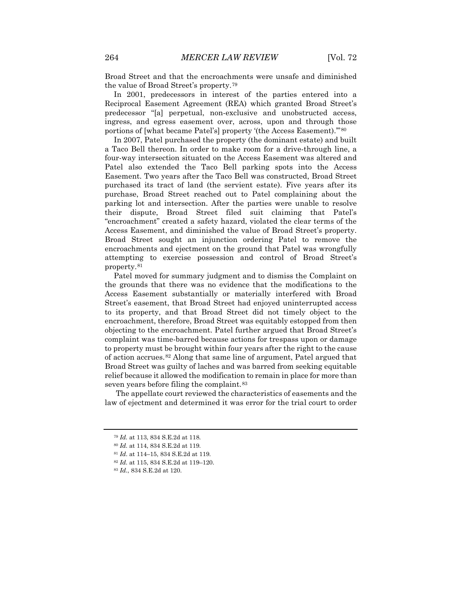Broad Street and that the encroachments were unsafe and diminished the value of Broad Street's property.[79](#page-10-0)

In 2001, predecessors in interest of the parties entered into a Reciprocal Easement Agreement (REA) which granted Broad Street's predecessor "[a] perpetual, non-exclusive and unobstructed access, ingress, and egress easement over, across, upon and through those portions of [what became Patel's] property '(the Access Easement).'"[80](#page-10-1)

In 2007, Patel purchased the property (the dominant estate) and built a Taco Bell thereon. In order to make room for a drive-through line, a four-way intersection situated on the Access Easement was altered and Patel also extended the Taco Bell parking spots into the Access Easement. Two years after the Taco Bell was constructed, Broad Street purchased its tract of land (the servient estate). Five years after its purchase, Broad Street reached out to Patel complaining about the parking lot and intersection. After the parties were unable to resolve their dispute, Broad Street filed suit claiming that Patel's "encroachment" created a safety hazard, violated the clear terms of the Access Easement, and diminished the value of Broad Street's property. Broad Street sought an injunction ordering Patel to remove the encroachments and ejectment on the ground that Patel was wrongfully attempting to exercise possession and control of Broad Street's property.[81](#page-10-2)

Patel moved for summary judgment and to dismiss the Complaint on the grounds that there was no evidence that the modifications to the Access Easement substantially or materially interfered with Broad Street's easement, that Broad Street had enjoyed uninterrupted access to its property, and that Broad Street did not timely object to the encroachment, therefore, Broad Street was equitably estopped from then objecting to the encroachment. Patel further argued that Broad Street's complaint was time-barred because actions for trespass upon or damage to property must be brought within four years after the right to the cause of action accrues.[82](#page-10-3) Along that same line of argument, Patel argued that Broad Street was guilty of laches and was barred from seeking equitable relief because it allowed the modification to remain in place for more than seven years before filing the complaint.<sup>[83](#page-10-4)</sup>

<span id="page-10-0"></span>The appellate court reviewed the characteristics of easements and the law of ejectment and determined it was error for the trial court to order

<sup>79</sup> *Id.* at 113, 834 S.E.2d at 118.

<span id="page-10-2"></span><span id="page-10-1"></span><sup>80</sup> *Id.* at 114, 834 S.E.2d at 119.

<sup>81</sup> *Id*. at 114–15, 834 S.E.2d at 119.

<span id="page-10-3"></span><sup>82</sup> *Id.* at 115, 834 S.E.2d at 119–120.

<span id="page-10-4"></span><sup>83</sup> *Id.*, 834 S.E.2d at 120.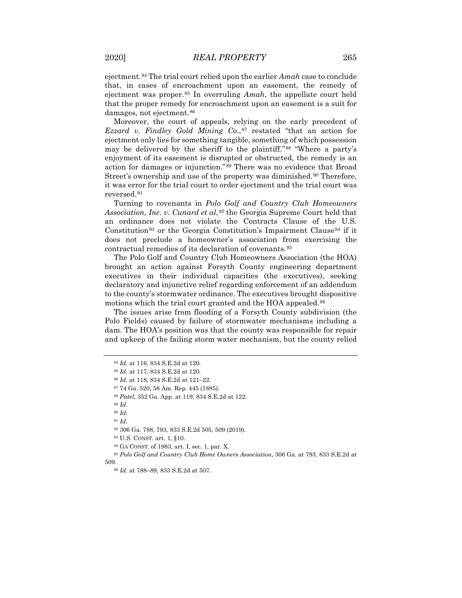ejectment.[84](#page-11-0) The trial court relied upon the earlier *Amah* case to conclude that, in cases of encroachment upon an easement, the remedy of ejectment was proper.[85](#page-11-1) In overruling *Amah*, the appellate court held that the proper remedy for encroachment upon an easement is a suit for damages, not ejectment.<sup>86</sup>

Moreover, the court of appeals, relying on the early precedent of *Ezzard v. Findley Gold Mining Co*.,[87](#page-11-3) restated "that an action for ejectment only lies for something tangible, something of which possession may be delivered by the sheriff to the plaintiff."[88](#page-11-4) "Where a party's enjoyment of its easement is disrupted or obstructed, the remedy is an action for damages or injunction."[89](#page-11-5) There was no evidence that Broad Street's ownership and use of the property was diminished.<sup>[90](#page-11-6)</sup> Therefore, it was error for the trial court to order ejectment and the trial court was reversed.[91](#page-11-7)

Turning to covenants in *Polo Golf and Country Club Homeowners Association, Inc. v. Cunard et al*,*[92](#page-11-8)* the Georgia Supreme Court held that an ordinance does not violate the Contracts Clause of the U.S. Constitution<sup>[93](#page-11-9)</sup> or the Georgia Constitution's Impairment Clause<sup>[94](#page-11-10)</sup> if it does not preclude a homeowner's association from exercising the contractual remedies of its declaration of covenants.[95](#page-11-11)

The Polo Golf and Country Club Homeowners Association (the HOA) brought an action against Forsyth County engineering department executives in their individual capacities (the executives), seeking declaratory and injunctive relief regarding enforcement of an addendum to the county's stormwater ordinance. The executives brought dispositive motions which the trial court granted and the HOA appealed.<sup>[96](#page-11-12)</sup>

The issues arise from flooding of a Forsyth County subdivision (the Polo Fields) caused by failure of stormwater mechanisms including a dam. The HOA's position was that the county was responsible for repair and upkeep of the failing storm water mechanism, but the county relied

<span id="page-11-6"></span><span id="page-11-5"></span><sup>89</sup> *Id.*

<sup>90</sup> *Id.*

<sup>91</sup> *Id.*

<sup>92</sup> 306 Ga. 788, 793, 833 S.E.2d 505, 509 (2019).

<sup>93</sup> U.S. CONST. art. 1, §10.

<span id="page-11-12"></span><span id="page-11-11"></span><span id="page-11-10"></span><span id="page-11-9"></span><span id="page-11-8"></span><span id="page-11-7"></span><sup>95</sup> *Polo Golf and Country Club Home Owners Association*, 306 Ga. at 793, 833 S.E.2d at 509.

<span id="page-11-0"></span><sup>84</sup> *Id.* at 116, 834 S.E.2d at 120.

<span id="page-11-1"></span><sup>85</sup> *Id.* at 117, 834 S.E.2d at 120.

<sup>86</sup> *Id.* at 118, 834 S.E.2d at 121–22.

<span id="page-11-4"></span><span id="page-11-3"></span><span id="page-11-2"></span><sup>87</sup> 74 Ga. 520, 58 Am. Rep. 445 (1885).

<sup>88</sup> *Patel*, 352 Ga. App. at 119, 834 S.E.2d at 122.

<sup>94</sup> GA CONST. of 1983, art. I, sec. 1, par. X.

<sup>96</sup> *Id.* at 788–89, 833 S.E.2d at 507.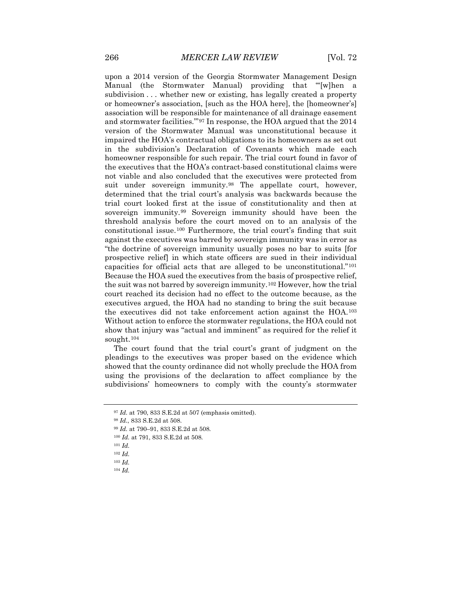upon a 2014 version of the Georgia Stormwater Management Design Manual (the Stormwater Manual) providing that "'[w]hen a subdivision . . . whether new or existing, has legally created a property or homeowner's association, [such as the HOA here], the [homeowner's] association will be responsible for maintenance of all drainage easement and stormwater facilities.'"[97](#page-12-0) In response, the HOA argued that the 2014 version of the Stormwater Manual was unconstitutional because it impaired the HOA's contractual obligations to its homeowners as set out in the subdivision's Declaration of Covenants which made each homeowner responsible for such repair. The trial court found in favor of the executives that the HOA's contract-based constitutional claims were not viable and also concluded that the executives were protected from suit under sovereign immunity.<sup>[98](#page-12-1)</sup> The appellate court, however, determined that the trial court's analysis was backwards because the trial court looked first at the issue of constitutionality and then at sovereign immunity.[99](#page-12-2) Sovereign immunity should have been the threshold analysis before the court moved on to an analysis of the constitutional issue.[100](#page-12-3) Furthermore, the trial court's finding that suit against the executives was barred by sovereign immunity was in error as "the doctrine of sovereign immunity usually poses no bar to suits [for prospective relief] in which state officers are sued in their individual capacities for official acts that are alleged to be unconstitutional."[101](#page-12-4) Because the HOA sued the executives from the basis of prospective relief, the suit was not barred by sovereign immunity.[102](#page-12-5) However, how the trial court reached its decision had no effect to the outcome because, as the executives argued, the HOA had no standing to bring the suit because the executives did not take enforcement action against the HOA.[103](#page-12-6) Without action to enforce the stormwater regulations, the HOA could not show that injury was "actual and imminent" as required for the relief it sought.[104](#page-12-7)

The court found that the trial court's grant of judgment on the pleadings to the executives was proper based on the evidence which showed that the county ordinance did not wholly preclude the HOA from using the provisions of the declaration to affect compliance by the subdivisions' homeowners to comply with the county's stormwater

<span id="page-12-1"></span><span id="page-12-0"></span><sup>97</sup> *Id.* at 790, 833 S.E.2d at 507 (emphasis omitted).

<sup>98</sup> *Id.*, 833 S.E.2d at 508.

<span id="page-12-3"></span><span id="page-12-2"></span><sup>99</sup> *Id.* at 790–91, 833 S.E.2d at 508.

<span id="page-12-4"></span><sup>100</sup> *Id.* at 791, 833 S.E.2d at 508.

<sup>101</sup> *Id.*

<span id="page-12-5"></span><sup>102</sup> *Id.*

<span id="page-12-7"></span><span id="page-12-6"></span><sup>103</sup> *Id.*

<sup>104</sup> *Id.*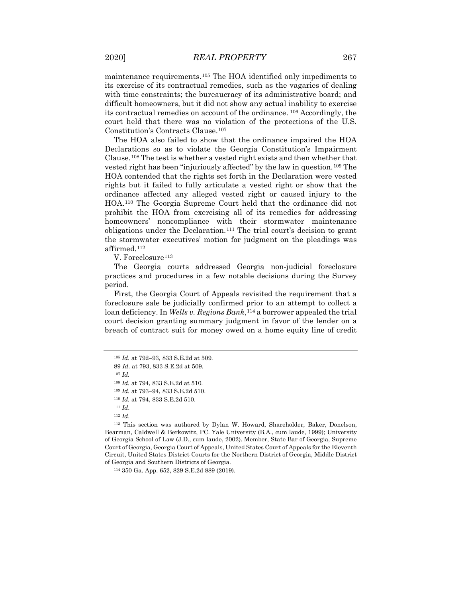maintenance requirements.[105](#page-13-0) The HOA identified only impediments to its exercise of its contractual remedies, such as the vagaries of dealing with time constraints; the bureaucracy of its administrative board; and difficult homeowners, but it did not show any actual inability to exercise its contractual remedies on account of the ordinance. [106](#page-13-1) Accordingly, the court held that there was no violation of the protections of the U.S. Constitution's Contracts Clause.[107](#page-13-2)

The HOA also failed to show that the ordinance impaired the HOA Declarations so as to violate the Georgia Constitution's Impairment Clause.[108](#page-13-3) The test is whether a vested right exists and then whether that vested right has been "injuriously affected" by the law in question.[109](#page-13-4) The HOA contended that the rights set forth in the Declaration were vested rights but it failed to fully articulate a vested right or show that the ordinance affected any alleged vested right or caused injury to the HOA.[110](#page-13-5) The Georgia Supreme Court held that the ordinance did not prohibit the HOA from exercising all of its remedies for addressing homeowners' noncompliance with their stormwater maintenance obligations under the Declaration.[111](#page-13-6) The trial court's decision to grant the stormwater executives' motion for judgment on the pleadings was affirmed.[112](#page-13-7)

V. Foreclosure<sup>[113](#page-13-8)</sup>

The Georgia courts addressed Georgia non-judicial foreclosure practices and procedures in a few notable decisions during the Survey period.

First, the Georgia Court of Appeals revisited the requirement that a foreclosure sale be judicially confirmed prior to an attempt to collect a loan deficiency. In *Wells v. Regions Bank*,<sup>[114](#page-13-9)</sup> a borrower appealed the trial court decision granting summary judgment in favor of the lender on a breach of contract suit for money owed on a home equity line of credit

<sup>107</sup> *Id.*

<sup>111</sup> *Id*.

<span id="page-13-9"></span><span id="page-13-8"></span><span id="page-13-7"></span><span id="page-13-6"></span><span id="page-13-5"></span><span id="page-13-4"></span><span id="page-13-3"></span><sup>113</sup> This section was authored by Dylan W. Howard, Shareholder, Baker, Donelson, Bearman, Caldwell & Berkowitz, PC. Yale University (B.A., cum laude, 1999); University of Georgia School of Law (J.D., cum laude, 2002). Member, State Bar of Georgia, Supreme Court of Georgia, Georgia Court of Appeals, United States Court of Appeals for the Eleventh Circuit, United States District Courts for the Northern District of Georgia, Middle District of Georgia and Southern Districts of Georgia.

<sup>114</sup> 350 Ga. App. 652, 829 S.E.2d 889 (2019).

<sup>105</sup> *Id.* at 792–93, 833 S.E.2d at 509.

<span id="page-13-2"></span><span id="page-13-1"></span><span id="page-13-0"></span><sup>89</sup> *Id.* at 793, 833 S.E.2d at 509.

<sup>108</sup> *Id.* at 794, 833 S.E.2d at 510.

<sup>109</sup> *Id.* at 793–94, 833 S.E.2d 510.

<sup>110</sup> *Id.* at 794, 833 S.E.2d 510.

<sup>112</sup> *Id*.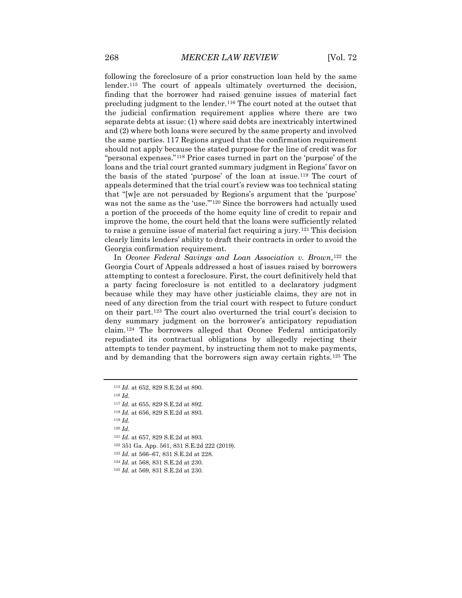following the foreclosure of a prior construction loan held by the same lender.[115](#page-14-0) The court of appeals ultimately overturned the decision, finding that the borrower had raised genuine issues of material fact precluding judgment to the lender.[116](#page-14-1) The court noted at the outset that the judicial confirmation requirement applies where there are two separate debts at issue: (1) where said debts are inextricably intertwined and (2) where both loans were secured by the same property and involved the same parties. [117](#page-14-2) Regions argued that the confirmation requirement should not apply because the stated purpose for the line of credit was for "personal expenses."[118](#page-14-3) Prior cases turned in part on the 'purpose' of the loans and the trial court granted summary judgment in Regions' favor on the basis of the stated 'purpose' of the loan at issue.[119](#page-14-4) The court of appeals determined that the trial court's review was too technical stating that "[w]e are not persuaded by Regions's argument that the 'purpose' was not the same as the 'use.'"[120](#page-14-5) Since the borrowers had actually used a portion of the proceeds of the home equity line of credit to repair and improve the home, the court held that the loans were sufficiently related to raise a genuine issue of material fact requiring a jury.[121](#page-14-6) This decision clearly limits lenders' ability to draft their contracts in order to avoid the Georgia confirmation requirement.

In *Oconee Federal Savings and Loan Association v. Brown*,[122](#page-14-7) the Georgia Court of Appeals addressed a host of issues raised by borrowers attempting to contest a foreclosure. First, the court definitively held that a party facing foreclosure is not entitled to a declaratory judgment because while they may have other justiciable claims, they are not in need of any direction from the trial court with respect to future conduct on their part.[123](#page-14-8) The court also overturned the trial court's decision to deny summary judgment on the borrower's anticipatory repudiation claim.[124](#page-14-9) The borrowers alleged that Oconee Federal anticipatorily repudiated its contractual obligations by allegedly rejecting their attempts to tender payment, by instructing them not to make payments, and by demanding that the borrowers sign away certain rights.[125](#page-14-10) The

- <span id="page-14-6"></span><sup>121</sup> *Id.* at 657, 829 S.E.2d at 893.
- <span id="page-14-7"></span><sup>122</sup> 351 Ga. App. 561, 831 S.E.2d 222 (2019).
- <span id="page-14-8"></span><sup>123</sup> *Id.* at 566–67, 831 S.E.2d at 228.
- <span id="page-14-9"></span><sup>124</sup> *Id.* at 568, 831 S.E.2d at 230.
- <span id="page-14-10"></span><sup>125</sup> *Id.* at 569, 831 S.E.2d at 230.

<sup>115</sup> *Id*. at 652, 829 S.E.2d at 890.

<span id="page-14-1"></span><span id="page-14-0"></span><sup>116</sup> *Id.*

<span id="page-14-2"></span><sup>117</sup> *Id.* at 655, 829 S.E.2d at 892.

<span id="page-14-4"></span><span id="page-14-3"></span><sup>118</sup> *Id.* at 656, 829 S.E.2d at 893.

<sup>119</sup> *Id.*

<span id="page-14-5"></span><sup>120</sup> *Id.*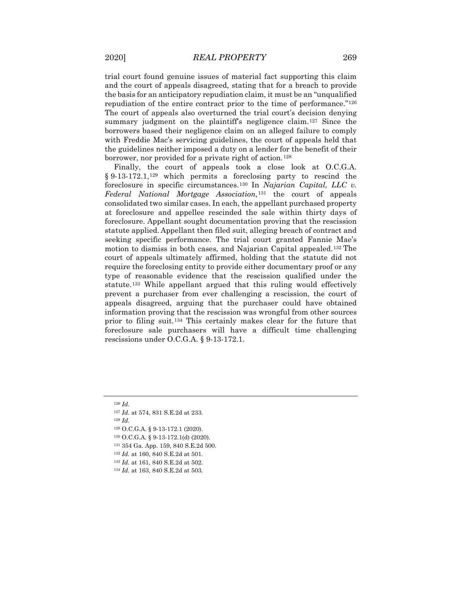trial court found genuine issues of material fact supporting this claim and the court of appeals disagreed, stating that for a breach to provide the basis for an anticipatory repudiation claim, it must be an "unqualified repudiation of the entire contract prior to the time of performance."[126](#page-15-0) The court of appeals also overturned the trial court's decision denying summary judgment on the plaintiff's negligence claim.<sup>[127](#page-15-1)</sup> Since the borrowers based their negligence claim on an alleged failure to comply with Freddie Mac's servicing guidelines, the court of appeals held that the guidelines neither imposed a duty on a lender for the benefit of their borrower, nor provided for a private right of action.<sup>[128](#page-15-2)</sup>

Finally, the court of appeals took a close look at O.C.G.A. § 9-13-172.1,<sup>[129](#page-15-3)</sup> which permits a foreclosing party to rescind the foreclosure in specific circumstances.[130](#page-15-4) In *Najarian Capital, LLC v. Federal National Mortgage Association,*[131](#page-15-5) the court of appeals consolidated two similar cases. In each, the appellant purchased property at foreclosure and appellee rescinded the sale within thirty days of foreclosure. Appellant sought documentation proving that the rescission statute applied. Appellant then filed suit, alleging breach of contract and seeking specific performance. The trial court granted Fannie Mae's motion to dismiss in both cases, and Najarian Capital appealed.[132](#page-15-6) The court of appeals ultimately affirmed, holding that the statute did not require the foreclosing entity to provide either documentary proof or any type of reasonable evidence that the rescission qualified under the statute.[133](#page-15-7) While appellant argued that this ruling would effectively prevent a purchaser from ever challenging a rescission, the court of appeals disagreed, arguing that the purchaser could have obtained information proving that the rescission was wrongful from other sources prior to filing suit.[134](#page-15-8) This certainly makes clear for the future that foreclosure sale purchasers will have a difficult time challenging rescissions under O.C.G.A. § 9-13-172.1.

- <span id="page-15-3"></span><sup>129</sup> O.C.G.A. § 9-13-172.1 (2020).
- <span id="page-15-4"></span><sup>130</sup> O.C.G.A. § 9-13-172.1(d) (2020).
- <span id="page-15-5"></span><sup>131</sup> 354 Ga. App. 159, 840 S.E.2d 500.
- <span id="page-15-6"></span><sup>132</sup> *Id.* at 160, 840 S.E.2d at 501.
- <span id="page-15-7"></span><sup>133</sup> *Id.* at 161, 840 S.E.2d at 502.
- <span id="page-15-8"></span><sup>134</sup> *Id*. at 163, 840 S.E.2d at 503.

<sup>126</sup> *Id.*

<span id="page-15-2"></span><span id="page-15-1"></span><span id="page-15-0"></span><sup>127</sup> *Id.* at 574, 831 S.E.2d at 233.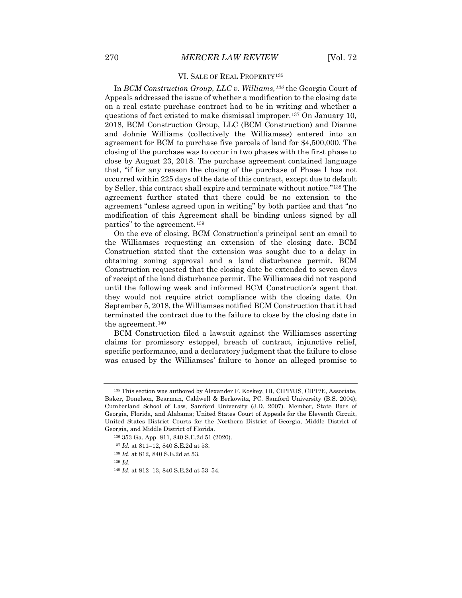### VI. SALE OF REAL PROPERTY[135](#page-16-0)

In *BCM Construction Group, LLC v. Williams,[136](#page-16-1)* the Georgia Court of Appeals addressed the issue of whether a modification to the closing date on a real estate purchase contract had to be in writing and whether a questions of fact existed to make dismissal improper.[137](#page-16-2) On January 10, 2018, BCM Construction Group, LLC (BCM Construction) and Dianne and Johnie Williams (collectively the Williamses) entered into an agreement for BCM to purchase five parcels of land for \$4,500,000. The closing of the purchase was to occur in two phases with the first phase to close by August 23, 2018. The purchase agreement contained language that, "if for any reason the closing of the purchase of Phase I has not occurred within 225 days of the date of this contract, except due to default by Seller, this contract shall expire and terminate without notice."[138](#page-16-3) The agreement further stated that there could be no extension to the agreement "unless agreed upon in writing" by both parties and that "no modification of this Agreement shall be binding unless signed by all parties" to the agreement.<sup>[139](#page-16-4)</sup>

On the eve of closing, BCM Construction's principal sent an email to the Williamses requesting an extension of the closing date. BCM Construction stated that the extension was sought due to a delay in obtaining zoning approval and a land disturbance permit. BCM Construction requested that the closing date be extended to seven days of receipt of the land disturbance permit. The Williamses did not respond until the following week and informed BCM Construction's agent that they would not require strict compliance with the closing date. On September 5, 2018, the Williamses notified BCM Construction that it had terminated the contract due to the failure to close by the closing date in the agreement.<sup>[140](#page-16-5)</sup>

BCM Construction filed a lawsuit against the Williamses asserting claims for promissory estoppel, breach of contract, injunctive relief, specific performance, and a declaratory judgment that the failure to close was caused by the Williamses' failure to honor an alleged promise to

<span id="page-16-0"></span><sup>135</sup> This section was authored by Alexander F. Koskey, III, CIPP/US, CIPP/E, Associate, Baker, Donelson, Bearman, Caldwell & Berkowitz, PC. Samford University (B.S. 2004); Cumberland School of Law, Samford University (J.D. 2007). Member, State Bars of Georgia, Florida, and Alabama; United States Court of Appeals for the Eleventh Circuit, United States District Courts for the Northern District of Georgia, Middle District of Georgia, and Middle District of Florida.

<span id="page-16-1"></span><sup>136</sup> 353 Ga. App. 811, 840 S.E.2d 51 (2020).

<span id="page-16-2"></span><sup>137</sup> *Id.* at 811–12, 840 S.E.2d at 53.

<span id="page-16-3"></span><sup>138</sup> *Id*. at 812, 840 S.E.2d at 53.

<span id="page-16-5"></span><span id="page-16-4"></span><sup>140</sup> *Id*. at 812–13, 840 S.E.2d at 53–54.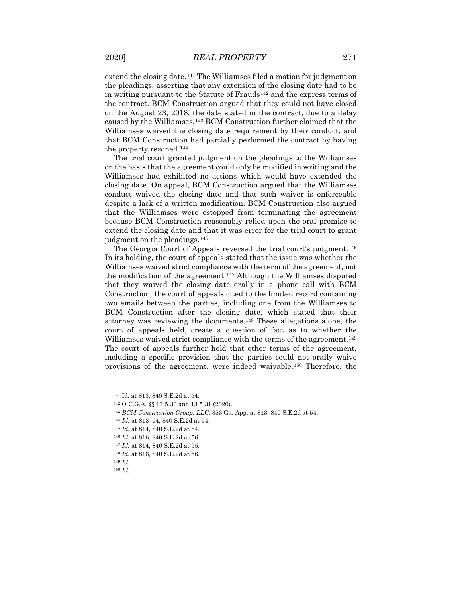extend the closing date.[141](#page-17-0) The Williamses filed a motion for judgment on the pleadings, asserting that any extension of the closing date had to be in writing pursuant to the Statute of Frauds<sup>[142](#page-17-1)</sup> and the express terms of the contract. BCM Construction argued that they could not have closed on the August 23, 2018, the date stated in the contract, due to a delay caused by the Williamses.[143](#page-17-2) BCM Construction further claimed that the Williamses waived the closing date requirement by their conduct, and that BCM Construction had partially performed the contract by having the property rezoned.[144](#page-17-3)

The trial court granted judgment on the pleadings to the Williamses on the basis that the agreement could only be modified in writing and the Williamses had exhibited no actions which would have extended the closing date. On appeal, BCM Construction argued that the Williamses conduct waived the closing date and that such waiver is enforceable despite a lack of a written modification. BCM Construction also argued that the Williamses were estopped from terminating the agreement because BCM Construction reasonably relied upon the oral promise to extend the closing date and that it was error for the trial court to grant judgment on the pleadings.<sup>[145](#page-17-4)</sup>

The Georgia Court of Appeals reversed the trial court's judgment.<sup>[146](#page-17-5)</sup> In its holding, the court of appeals stated that the issue was whether the Williamses waived strict compliance with the term of the agreement, not the modification of the agreement.<sup>[147](#page-17-6)</sup> Although the Williamses disputed that they waived the closing date orally in a phone call with BCM Construction, the court of appeals cited to the limited record containing two emails between the parties, including one from the Williamses to BCM Construction after the closing date, which stated that their attorney was reviewing the documents.[148](#page-17-7) These allegations alone, the court of appeals held, create a question of fact as to whether the Williamses waived strict compliance with the terms of the agreement.<sup>[149](#page-17-8)</sup> The court of appeals further held that other terms of the agreement, including a specific provision that the parties could not orally waive provisions of the agreement, were indeed waivable.[150](#page-17-9) Therefore, the

- <span id="page-17-4"></span><sup>145</sup> *Id.* at 814, 840 S.E.2d at 54.
- <span id="page-17-5"></span><sup>146</sup> *Id.* at 816, 840 S.E.2d at 56.

<span id="page-17-1"></span><span id="page-17-0"></span><sup>141</sup> Id. at 813, 840 S.E.2d at 54.

<sup>142</sup> O.C.G.A. §§ 13-5-30 and 13-5-31 (2020).

<span id="page-17-2"></span><sup>143</sup> *BCM Construction Group, LLC*, 353 Ga. App. at 813, 840 S.E.2d at 54.

<span id="page-17-3"></span><sup>144</sup> *Id.* at 813–14, 840 S.E.2d at 54.

<span id="page-17-6"></span><sup>147</sup> *Id.* at 814, 840 S.E.2d at 55.

<span id="page-17-7"></span><sup>148</sup> *Id.* at 816, 840 S.E.2d at 56.

<span id="page-17-9"></span><span id="page-17-8"></span><sup>149</sup> *Id.*

<sup>150</sup> *Id.*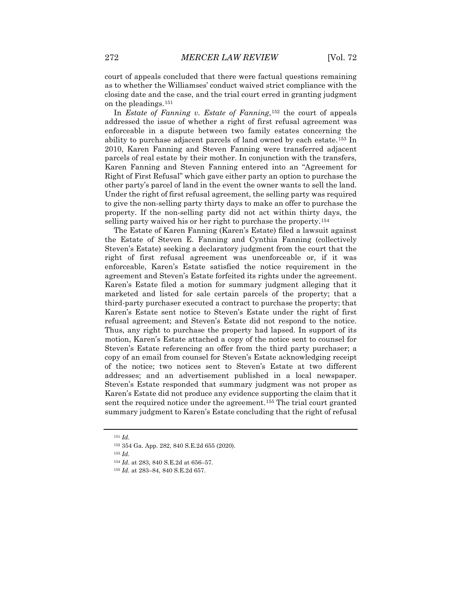court of appeals concluded that there were factual questions remaining as to whether the Williamses' conduct waived strict compliance with the closing date and the case, and the trial court erred in granting judgment on the pleadings.[151](#page-18-0)

In *Estate of Fanning v. Estate of Fanning*,[152](#page-18-1) the court of appeals addressed the issue of whether a right of first refusal agreement was enforceable in a dispute between two family estates concerning the ability to purchase adjacent parcels of land owned by each estate.[153](#page-18-2) In 2010, Karen Fanning and Steven Fanning were transferred adjacent parcels of real estate by their mother. In conjunction with the transfers, Karen Fanning and Steven Fanning entered into an "Agreement for Right of First Refusal" which gave either party an option to purchase the other party's parcel of land in the event the owner wants to sell the land. Under the right of first refusal agreement, the selling party was required to give the non-selling party thirty days to make an offer to purchase the property. If the non-selling party did not act within thirty days, the selling party waived his or her right to purchase the property.<sup>[154](#page-18-3)</sup>

The Estate of Karen Fanning (Karen's Estate) filed a lawsuit against the Estate of Steven E. Fanning and Cynthia Fanning (collectively Steven's Estate) seeking a declaratory judgment from the court that the right of first refusal agreement was unenforceable or, if it was enforceable, Karen's Estate satisfied the notice requirement in the agreement and Steven's Estate forfeited its rights under the agreement. Karen's Estate filed a motion for summary judgment alleging that it marketed and listed for sale certain parcels of the property; that a third-party purchaser executed a contract to purchase the property; that Karen's Estate sent notice to Steven's Estate under the right of first refusal agreement; and Steven's Estate did not respond to the notice. Thus, any right to purchase the property had lapsed. In support of its motion, Karen's Estate attached a copy of the notice sent to counsel for Steven's Estate referencing an offer from the third party purchaser; a copy of an email from counsel for Steven's Estate acknowledging receipt of the notice; two notices sent to Steven's Estate at two different addresses; and an advertisement published in a local newspaper. Steven's Estate responded that summary judgment was not proper as Karen's Estate did not produce any evidence supporting the claim that it sent the required notice under the agreement.[155](#page-18-4) The trial court granted summary judgment to Karen's Estate concluding that the right of refusal

<sup>151</sup> *Id.*

<span id="page-18-3"></span><span id="page-18-2"></span><span id="page-18-1"></span><span id="page-18-0"></span><sup>152</sup> 354 Ga. App. 282, 840 S.E.2d 655 (2020).

<sup>154</sup> *Id*. at 283, 840 S.E.2d at 656–57.

<span id="page-18-4"></span><sup>155</sup> *Id.* at 283–84, 840 S.E.2d 657.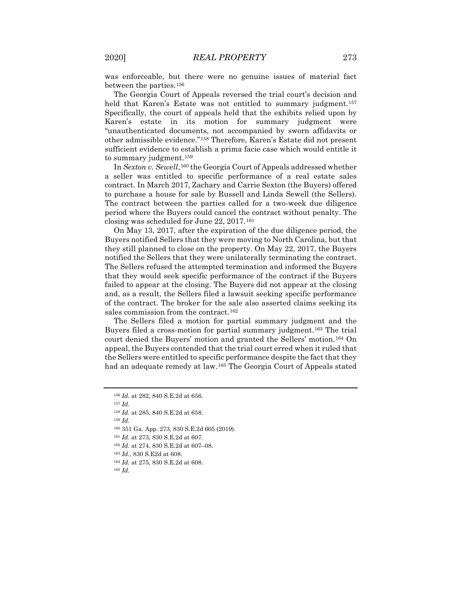was enforceable, but there were no genuine issues of material fact between the parties.[156](#page-19-0)

The Georgia Court of Appeals reversed the trial court's decision and held that Karen's Estate was not entitled to summary judgment.<sup>[157](#page-19-1)</sup> Specifically, the court of appeals held that the exhibits relied upon by Karen's estate in its motion for summary judgment were "unauthenticated documents, not accompanied by sworn affidavits or other admissible evidence."[158](#page-19-2) Therefore, Karen's Estate did not present sufficient evidence to establish a prima facie case which would entitle it to summary judgment.<sup>[159](#page-19-3)</sup>

In *Sexton v. Sewell*, <sup>[160](#page-19-4)</sup> the Georgia Court of Appeals addressed whether a seller was entitled to specific performance of a real estate sales contract. In March 2017, Zachary and Carrie Sexton (the Buyers) offered to purchase a house for sale by Russell and Linda Sewell (the Sellers). The contract between the parties called for a two-week due diligence period where the Buyers could cancel the contract without penalty. The closing was scheduled for June 22, 2017.[161](#page-19-5)

On May 13, 2017, after the expiration of the due diligence period, the Buyers notified Sellers that they were moving to North Carolina, but that they still planned to close on the property. On May 22, 2017, the Buyers notified the Sellers that they were unilaterally terminating the contract. The Sellers refused the attempted termination and informed the Buyers that they would seek specific performance of the contract if the Buyers failed to appear at the closing. The Buyers did not appear at the closing and, as a result, the Sellers filed a lawsuit seeking specific performance of the contract. The broker for the sale also asserted claims seeking its sales commission from the contract.<sup>[162](#page-19-6)</sup>

The Sellers filed a motion for partial summary judgment and the Buyers filed a cross-motion for partial summary judgment.[163](#page-19-7) The trial court denied the Buyers' motion and granted the Sellers' motion.[164](#page-19-8) On appeal, the Buyers contended that the trial court erred when it ruled that the Sellers were entitled to specific performance despite the fact that they had an adequate remedy at law.[165](#page-19-9) The Georgia Court of Appeals stated

<span id="page-19-1"></span><sup>157</sup> *Id.*

<span id="page-19-3"></span><sup>159</sup> *Id.*

<span id="page-19-0"></span><sup>156</sup> *Id.* at 282, 840 S.E.2d at 656.

<span id="page-19-2"></span><sup>158</sup> *Id.* at 285, 840 S.E.2d at 658.

<span id="page-19-4"></span><sup>160</sup> 351 Ga. App. 273, 830 S.E.2d 605 (2019).

<sup>161</sup> *Id.* at 273, 830 S.E.2d at 607.

<span id="page-19-7"></span><span id="page-19-6"></span><span id="page-19-5"></span><sup>162</sup> *Id.* at 274, 830 S.E.2d at 607–08.

<sup>163</sup> *Id.*, 830 S.E2d at 608.

<span id="page-19-9"></span><span id="page-19-8"></span><sup>164</sup> *Id.* at 275, 830 S.E.2d at 608.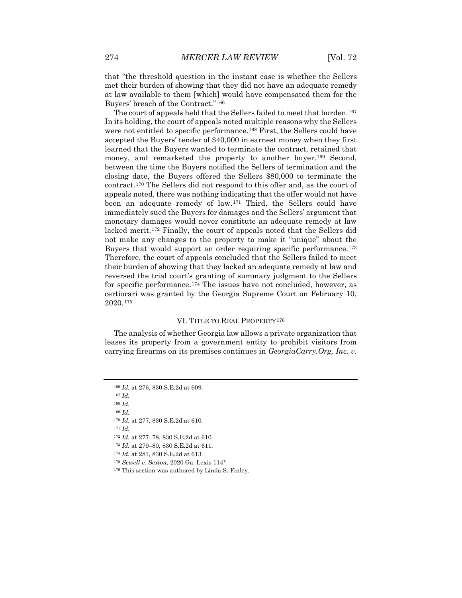that "the threshold question in the instant case is whether the Sellers met their burden of showing that they did not have an adequate remedy at law available to them [which] would have compensated them for the Buyers' breach of the Contract."[166](#page-20-0)

The court of appeals held that the Sellers failed to meet that burden.<sup>[167](#page-20-1)</sup> In its holding, the court of appeals noted multiple reasons why the Sellers were not entitled to specific performance.<sup>[168](#page-20-2)</sup> First, the Sellers could have accepted the Buyers' tender of \$40,000 in earnest money when they first learned that the Buyers wanted to terminate the contract, retained that money, and remarketed the property to another buyer.<sup>[169](#page-20-3)</sup> Second, between the time the Buyers notified the Sellers of termination and the closing date, the Buyers offered the Sellers \$80,000 to terminate the contract.[170](#page-20-4) The Sellers did not respond to this offer and, as the court of appeals noted, there was nothing indicating that the offer would not have been an adequate remedy of law.[171](#page-20-5) Third, the Sellers could have immediately sued the Buyers for damages and the Sellers' argument that monetary damages would never constitute an adequate remedy at law lacked merit.[172](#page-20-6) Finally, the court of appeals noted that the Sellers did not make any changes to the property to make it "unique" about the Buyers that would support an order requiring specific performance.[173](#page-20-7) Therefore, the court of appeals concluded that the Sellers failed to meet their burden of showing that they lacked an adequate remedy at law and reversed the trial court's granting of summary judgment to the Sellers for specific performance.[174](#page-20-8) The issues have not concluded, however, as certiorari was granted by the Georgia Supreme Court on February 10, 2020.[175](#page-20-9)

#### VI. TITLE TO REAL PROPERTY[176](#page-20-10)

The analysis of whether Georgia law allows a private organization that leases its property from a government entity to prohibit visitors from carrying firearms on its premises continues in *GeorgiaCarry.Org, Inc. v.* 

<span id="page-20-2"></span><sup>168</sup> *Id.*

<span id="page-20-3"></span><sup>169</sup> *Id.*

<span id="page-20-0"></span><sup>166</sup> *Id.* at 276, 830 S.E.2d at 609.

<span id="page-20-1"></span><sup>167</sup> *Id.*

<span id="page-20-5"></span><span id="page-20-4"></span><sup>170</sup> *Id.* at 277, 830 S.E.2d at 610.

<span id="page-20-6"></span><sup>172</sup> *Id.* at 277–78, 830 S.E.2d at 610.

<span id="page-20-7"></span><sup>173</sup> *Id.* at 279–80, 830 S.E.2d at 611.

<span id="page-20-8"></span><sup>174</sup> *Id.* at 281, 830 S.E.2d at 613.

<span id="page-20-9"></span><sup>175</sup> *Sewell v. Sexton*, 2020 Ga. Lexis 114\*

<span id="page-20-10"></span><sup>176</sup> This section was authored by Linda S. Finley.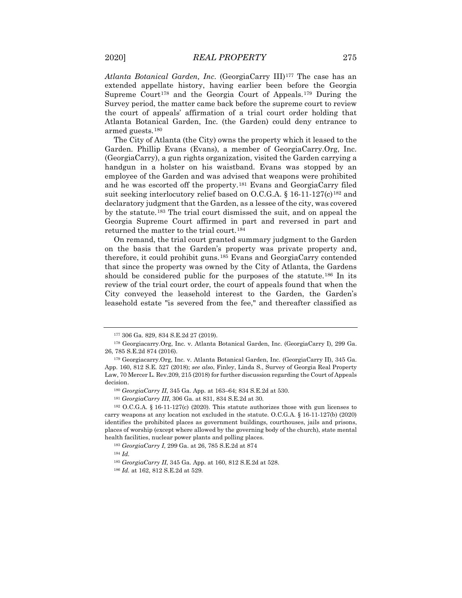*Atlanta Botanical Garden, Inc*. (GeorgiaCarry III)[177](#page-21-0) The case has an extended appellate history, having earlier been before the Georgia Supreme Court<sup>[178](#page-21-1)</sup> and the Georgia Court of Appeals.<sup>[179](#page-21-2)</sup> During the Survey period, the matter came back before the supreme court to review the court of appeals' affirmation of a trial court order holding that Atlanta Botanical Garden, Inc. (the Garden) could deny entrance to armed guests.[180](#page-21-3)

The City of Atlanta (the City) owns the property which it leased to the Garden. Phillip Evans (Evans), a member of GeorgiaCarry.Org, Inc. (GeorgiaCarry), a gun rights organization, visited the Garden carrying a handgun in a holster on his waistband. Evans was stopped by an employee of the Garden and was advised that weapons were prohibited and he was escorted off the property.[181](#page-21-4) Evans and GeorgiaCarry filed suit seeking interlocutory relief based on O.C.G.A. § 16-11-127(c)<sup>[182](#page-21-5)</sup> and declaratory judgment that the Garden, as a lessee of the city, was covered by the statute.[183](#page-21-6) The trial court dismissed the suit, and on appeal the Georgia Supreme Court affirmed in part and reversed in part and returned the matter to the trial court.<sup>[184](#page-21-7)</sup>

On remand, the trial court granted summary judgment to the Garden on the basis that the Garden's property was private property and, therefore, it could prohibit guns.[185](#page-21-8) Evans and GeorgiaCarry contended that since the property was owned by the City of Atlanta, the Gardens should be considered public for the purposes of the statute.<sup>[186](#page-21-9)</sup> In its review of the trial court order, the court of appeals found that when the City conveyed the leasehold interest to the Garden, the Garden's leasehold estate "is severed from the fee," and thereafter classified as

<sup>177</sup> 306 Ga. 829, 834 S.E.2d 27 (2019).

<span id="page-21-1"></span><span id="page-21-0"></span><sup>178</sup> Georgiacarry.Org, Inc. v. Atlanta Botanical Garden, Inc. (GeorgiaCarry I), 299 Ga. 26, 785 S.E.2d 874 (2016).

<span id="page-21-2"></span><sup>179</sup> Georgiacarry.Org, Inc. v. Atlanta Botanical Garden, Inc. (GeorgiaCarry II), 345 Ga. App. 160, 812 S.E. 527 (2018); *see also*, Finley, Linda S., Survey of Georgia Real Property Law, 70 Mercer L. Rev.209, 215 (2018) for further discussion regarding the Court of Appeals decision.

<sup>180</sup> *GeorgiaCarry II*, 345 Ga. App. at 163–64; 834 S.E.2d at 530.

<sup>181</sup> *GeorgiaCarry III*, 306 Ga. at 831, 834 S.E.2d at 30.

<span id="page-21-6"></span><span id="page-21-5"></span><span id="page-21-4"></span><span id="page-21-3"></span><sup>182</sup> O.C.G.A. § 16-11-127(c) (2020). This statute authorizes those with gun licenses to carry weapons at any location not excluded in the statute. O.C.G.A. § 16-11-127(b) (2020) identifies the prohibited places as government buildings, courthouses, jails and prisons, places of worship (except where allowed by the governing body of the church), state mental health facilities, nuclear power plants and polling places.

<span id="page-21-7"></span><sup>183</sup> *GeorgiaCarry I*, 299 Ga. at 26, 785 S.E.2d at 874

<span id="page-21-9"></span><span id="page-21-8"></span><sup>184</sup> *Id.*

<sup>185</sup> *GeorgiaCarry II*, 345 Ga. App. at 160, 812 S.E.2d at 528.

<sup>186</sup> *Id.* at 162, 812 S.E.2d at 529.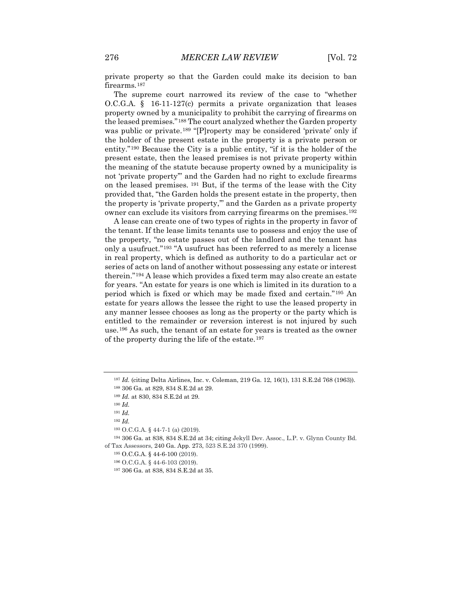private property so that the Garden could make its decision to ban firearms.<sup>[187](#page-22-0)</sup>

The supreme court narrowed its review of the case to "whether O.C.G.A. § 16-11-127(c) permits a private organization that leases property owned by a municipality to prohibit the carrying of firearms on the leased premises."[188](#page-22-1) The court analyzed whether the Garden property was public or private.<sup>[189](#page-22-2)</sup> "[P]roperty may be considered 'private' only if the holder of the present estate in the property is a private person or entity."[190](#page-22-3) Because the City is a public entity, "if it is the holder of the present estate, then the leased premises is not private property within the meaning of the statute because property owned by a municipality is not 'private property'" and the Garden had no right to exclude firearms on the leased premises. [191](#page-22-4) But, if the terms of the lease with the City provided that, "the Garden holds the present estate in the property, then the property is 'private property,'" and the Garden as a private property owner can exclude its visitors from carrying firearms on the premises.[192](#page-22-5)

A lease can create one of two types of rights in the property in favor of the tenant. If the lease limits tenants use to possess and enjoy the use of the property, "no estate passes out of the landlord and the tenant has only a usufruct."[193](#page-22-6) "A usufruct has been referred to as merely a license in real property, which is defined as authority to do a particular act or series of acts on land of another without possessing any estate or interest therein."[194](#page-22-7) A lease which provides a fixed term may also create an estate for years. "An estate for years is one which is limited in its duration to a period which is fixed or which may be made fixed and certain."[195](#page-22-8) An estate for years allows the lessee the right to use the leased property in any manner lessee chooses as long as the property or the party which is entitled to the remainder or reversion interest is not injured by such use.[196](#page-22-9) As such, the tenant of an estate for years is treated as the owner of the property during the life of the estate.[197](#page-22-10)

<span id="page-22-1"></span><span id="page-22-0"></span><sup>187</sup> *Id.* (citing Delta Airlines, Inc. v. Coleman, 219 Ga. 12, 16(1), 131 S.E.2d 768 (1963)).

<sup>188</sup> 306 Ga. at 829, 834 S.E.2d at 29.

<sup>189</sup> *Id.* at 830, 834 S.E.2d at 29.

<sup>190</sup> *Id.* 

<sup>191</sup> *Id.*

<sup>192</sup> *Id.*

<sup>193</sup> O.C.G.A. § 44-7-1 (a) (2019).

<span id="page-22-10"></span><span id="page-22-9"></span><span id="page-22-8"></span><span id="page-22-7"></span><span id="page-22-6"></span><span id="page-22-5"></span><span id="page-22-4"></span><span id="page-22-3"></span><span id="page-22-2"></span><sup>194</sup> 306 Ga. at 838, 834 S.E.2d at 34; citing Jekyll Dev. Assoc., L.P. v. Glynn County Bd. of Tax Assessors, 240 Ga. App. 273, 523 S.E.2d 370 (1999).

<sup>195</sup> O.C.G.A. § 44-6-100 (2019).

<sup>196</sup> O.C.G.A. § 44-6-103 (2019).

<sup>197</sup> 306 Ga. at 838, 834 S.E.2d at 35.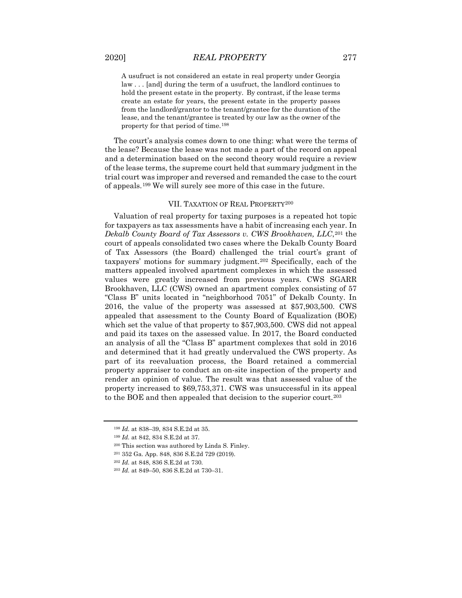A usufruct is not considered an estate in real property under Georgia law . . . [and] during the term of a usufruct, the landlord continues to hold the present estate in the property. By contrast, if the lease terms create an estate for years, the present estate in the property passes from the landlord/grantor to the tenant/grantee for the duration of the lease, and the tenant/grantee is treated by our law as the owner of the property for that period of time.[198](#page-23-0)

The court's analysis comes down to one thing: what were the terms of the lease? Because the lease was not made a part of the record on appeal and a determination based on the second theory would require a review of the lease terms, the supreme court held that summary judgment in the trial court was improper and reversed and remanded the case to the court of appeals.[199](#page-23-1) We will surely see more of this case in the future.

### VII. TAXATION OF REAL PROPERTY[200](#page-23-2)

Valuation of real property for taxing purposes is a repeated hot topic for taxpayers as tax assessments have a habit of increasing each year. In *Dekalb County Board of Tax Assessors v. CWS Brookhaven, LLC*,[201](#page-23-3) the court of appeals consolidated two cases where the Dekalb County Board of Tax Assessors (the Board) challenged the trial court's grant of taxpayers' motions for summary judgment.[202](#page-23-4) Specifically, each of the matters appealed involved apartment complexes in which the assessed values were greatly increased from previous years. CWS SGARR Brookhaven, LLC (CWS) owned an apartment complex consisting of 57 "Class B" units located in "neighborhood 7051" of Dekalb County. In 2016, the value of the property was assessed at \$57,903,500. CWS appealed that assessment to the County Board of Equalization (BOE) which set the value of that property to \$57,903,500. CWS did not appeal and paid its taxes on the assessed value. In 2017, the Board conducted an analysis of all the "Class B" apartment complexes that sold in 2016 and determined that it had greatly undervalued the CWS property. As part of its reevaluation process, the Board retained a commercial property appraiser to conduct an on-site inspection of the property and render an opinion of value. The result was that assessed value of the property increased to \$69,753,371. CWS was unsuccessful in its appeal to the BOE and then appealed that decision to the superior court.[203](#page-23-5)

<sup>198</sup> *Id.* at 838–39, 834 S.E.2d at 35.

<span id="page-23-1"></span><span id="page-23-0"></span><sup>199</sup> *Id.* at 842, 834 S.E.2d at 37.

<span id="page-23-2"></span><sup>200</sup> This section was authored by Linda S. Finley.

<span id="page-23-4"></span><span id="page-23-3"></span><sup>201</sup> 352 Ga. App. 848, 836 S.E.2d 729 (2019).

<sup>202</sup> *Id.* at 848, 836 S.E.2d at 730.

<span id="page-23-5"></span><sup>203</sup> *Id.* at 849–50, 836 S.E.2d at 730–31.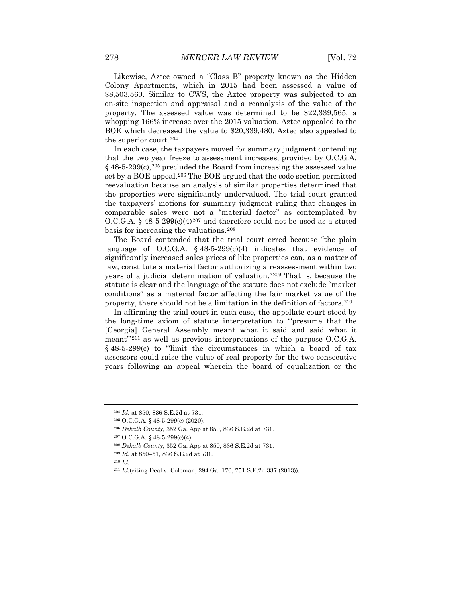Likewise, Aztec owned a "Class B" property known as the Hidden Colony Apartments, which in 2015 had been assessed a value of \$8,503,560. Similar to CWS, the Aztec property was subjected to an on-site inspection and appraisal and a reanalysis of the value of the property. The assessed value was determined to be \$22,339,565, a whopping 166% increase over the 2015 valuation. Aztec appealed to the BOE which decreased the value to \$20,339,480. Aztec also appealed to the superior court.[204](#page-24-0)

In each case, the taxpayers moved for summary judgment contending that the two year freeze to assessment increases, provided by O.C.G.A.  $§$  48-5-299 $(c)$ , <sup>[205](#page-24-1)</sup> precluded the Board from increasing the assessed value set by a BOE appeal.[206](#page-24-2) The BOE argued that the code section permitted reevaluation because an analysis of similar properties determined that the properties were significantly undervalued. The trial court granted the taxpayers' motions for summary judgment ruling that changes in comparable sales were not a "material factor" as contemplated by O.C.G.A. §  $48-5-299(c)(4)^{207}$  $48-5-299(c)(4)^{207}$  $48-5-299(c)(4)^{207}$  and therefore could not be used as a stated basis for increasing the valuations.[208](#page-24-4)

The Board contended that the trial court erred because "the plain language of O.C.G.A.  $\S$  48-5-299(c)(4) indicates that evidence of significantly increased sales prices of like properties can, as a matter of law, constitute a material factor authorizing a reassessment within two years of a judicial determination of valuation."[209](#page-24-5) That is, because the statute is clear and the language of the statute does not exclude "market conditions" as a material factor affecting the fair market value of the property, there should not be a limitation in the definition of factors.<sup>[210](#page-24-6)</sup>

In affirming the trial court in each case, the appellate court stood by the long-time axiom of statute interpretation to "'presume that the [Georgia] General Assembly meant what it said and said what it meant"<sup>[211](#page-24-7)</sup> as well as previous interpretations of the purpose O.C.G.A. § 48-5-299(c) to "'limit the circumstances in which a board of tax assessors could raise the value of real property for the two consecutive years following an appeal wherein the board of equalization or the

<span id="page-24-0"></span><sup>204</sup> *Id.* at 850, 836 S.E.2d at 731.

<span id="page-24-1"></span><sup>205</sup> O.C.G.A. § 48-5-299(c) (2020).

<span id="page-24-2"></span><sup>206</sup> *Dekalb County*, 352 Ga. App at 850, 836 S.E.2d at 731.

<sup>207</sup> O.C.G.A. § 48-5-299(c)(4)

<span id="page-24-5"></span><span id="page-24-4"></span><span id="page-24-3"></span><sup>208</sup> *Dekalb County*, 352 Ga. App at 850, 836 S.E.2d at 731.

<span id="page-24-6"></span><sup>209</sup> *Id.* at 850–51, 836 S.E.2d at 731.

<span id="page-24-7"></span><sup>211</sup> *Id.*(citing Deal v. Coleman, 294 Ga. 170, 751 S.E.2d 337 (2013)).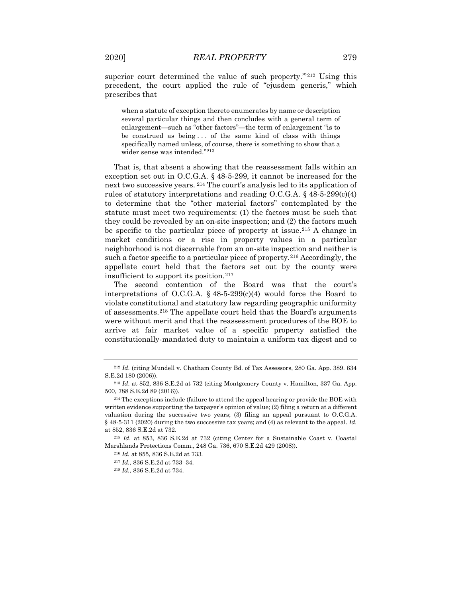superior court determined the value of such property."<sup>[212](#page-25-0)</sup> Using this precedent, the court applied the rule of "ejusdem generis," which prescribes that

when a statute of exception thereto enumerates by name or description several particular things and then concludes with a general term of enlargement—such as "other factors"—the term of enlargement "is to be construed as being . . . of the same kind of class with things specifically named unless, of course, there is something to show that a wider sense was intended."[213](#page-25-1)

That is, that absent a showing that the reassessment falls within an exception set out in O.C.G.A. § 48-5-299, it cannot be increased for the next two successive years. [214](#page-25-2) The court's analysis led to its application of rules of statutory interpretations and reading O.C.G.A.  $\S$  48-5-299(c)(4) to determine that the "other material factors" contemplated by the statute must meet two requirements: (1) the factors must be such that they could be revealed by an on-site inspection; and (2) the factors much be specific to the particular piece of property at issue.[215](#page-25-3) A change in market conditions or a rise in property values in a particular neighborhood is not discernable from an on-site inspection and neither is such a factor specific to a particular piece of property.<sup>[216](#page-25-4)</sup> Accordingly, the appellate court held that the factors set out by the county were insufficient to support its position.[217](#page-25-5)

The second contention of the Board was that the court's interpretations of O.C.G.A.  $\S$  48-5-299(c)(4) would force the Board to violate constitutional and statutory law regarding geographic uniformity of assessments.[218](#page-25-6) The appellate court held that the Board's arguments were without merit and that the reassessment procedures of the BOE to arrive at fair market value of a specific property satisfied the constitutionally-mandated duty to maintain a uniform tax digest and to

<span id="page-25-0"></span><sup>212</sup> *Id.* (citing Mundell v. Chatham County Bd. of Tax Assessors, 280 Ga. App. 389. 634 S.E.2d 180 (2006)).

<span id="page-25-1"></span><sup>213</sup> *Id.* at 852, 836 S.E.2d at 732 (citing Montgomery County v. Hamilton, 337 Ga. App. 500, 788 S.E.2d 89 (2016)).

<span id="page-25-2"></span><sup>&</sup>lt;sup>214</sup> The exceptions include (failure to attend the appeal hearing or provide the BOE with written evidence supporting the taxpayer's opinion of value; (2) filing a return at a different valuation during the successive two years; (3) filing an appeal pursuant to O.C.G.A. § 48-5-311 (2020) during the two successive tax years; and (4) as relevant to the appeal. *Id.* at 852, 836 S.E.2d at 732.

<span id="page-25-6"></span><span id="page-25-5"></span><span id="page-25-4"></span><span id="page-25-3"></span><sup>215</sup> *Id.* at 853, 836 S.E.2d at 732 (citing Center for a Sustainable Coast v. Coastal Marshlands Protections Comm., 248 Ga. 736, 670 S.E.2d 429 (2008)).

<sup>216</sup> *Id.* at 855, 836 S.E.2d at 733.

<sup>217</sup> *Id.*, 836 S.E.2d at 733–34.

<sup>218</sup> *Id.*, 836 S.E.2d at 734.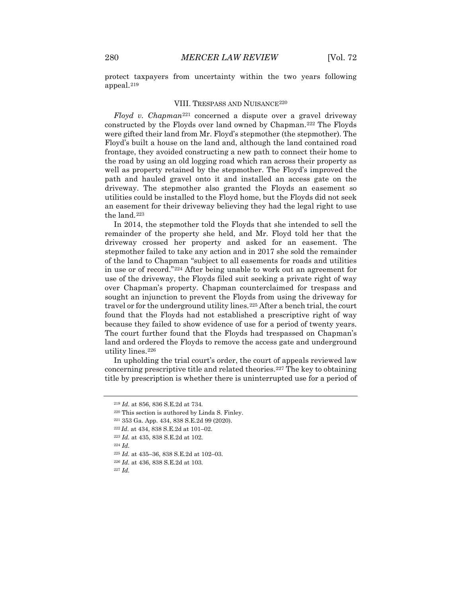protect taxpayers from uncertainty within the two years following appeal.[219](#page-26-0)

### VIII. TRESPASS AND NUISANCE<sup>[220](#page-26-1)</sup>

*Floyd v. Chapman*[221](#page-26-2) concerned a dispute over a gravel driveway constructed by the Floyds over land owned by Chapman.[222](#page-26-3) The Floyds were gifted their land from Mr. Floyd's stepmother (the stepmother). The Floyd's built a house on the land and, although the land contained road frontage, they avoided constructing a new path to connect their home to the road by using an old logging road which ran across their property as well as property retained by the stepmother. The Floyd's improved the path and hauled gravel onto it and installed an access gate on the driveway. The stepmother also granted the Floyds an easement so utilities could be installed to the Floyd home, but the Floyds did not seek an easement for their driveway believing they had the legal right to use the land.[223](#page-26-4)

In 2014, the stepmother told the Floyds that she intended to sell the remainder of the property she held, and Mr. Floyd told her that the driveway crossed her property and asked for an easement. The stepmother failed to take any action and in 2017 she sold the remainder of the land to Chapman "subject to all easements for roads and utilities in use or of record."[224](#page-26-5) After being unable to work out an agreement for use of the driveway, the Floyds filed suit seeking a private right of way over Chapman's property. Chapman counterclaimed for trespass and sought an injunction to prevent the Floyds from using the driveway for travel or for the underground utility lines.<sup>[225](#page-26-6)</sup> After a bench trial, the court found that the Floyds had not established a prescriptive right of way because they failed to show evidence of use for a period of twenty years. The court further found that the Floyds had trespassed on Chapman's land and ordered the Floyds to remove the access gate and underground utility lines.[226](#page-26-7)

In upholding the trial court's order, the court of appeals reviewed law concerning prescriptive title and related theories.[227](#page-26-8) The key to obtaining title by prescription is whether there is uninterrupted use for a period of

<span id="page-26-0"></span><sup>219</sup> *Id.* at 856, 836 S.E.2d at 734.

<span id="page-26-1"></span><sup>220</sup> This section is authored by Linda S. Finley.

<sup>221</sup> 353 Ga. App. 434, 838 S.E.2d 99 (2020).

<span id="page-26-2"></span><sup>222</sup> *Id.* at 434, 838 S.E.2d at 101–02.

<span id="page-26-4"></span><span id="page-26-3"></span><sup>223</sup> *Id.* at 435, 838 S.E.2d at 102.

<span id="page-26-6"></span><span id="page-26-5"></span><sup>224</sup> *Id.*

<sup>225</sup> *Id.* at 435–36, 838 S.E.2d at 102–03.

<sup>226</sup> *Id.* at 436, 838 S.E.2d at 103.

<span id="page-26-8"></span><span id="page-26-7"></span><sup>227</sup> *Id.*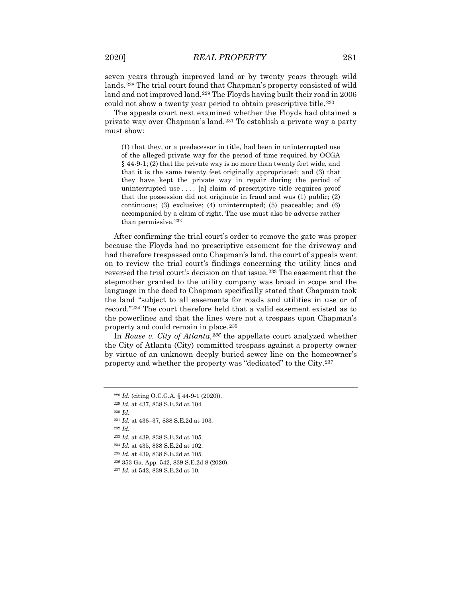seven years through improved land or by twenty years through wild lands.[228](#page-27-0) The trial court found that Chapman's property consisted of wild land and not improved land.<sup>[229](#page-27-1)</sup> The Floyds having built their road in 2006 could not show a twenty year period to obtain prescriptive title.<sup>[230](#page-27-2)</sup>

The appeals court next examined whether the Floyds had obtained a private way over Chapman's land.[231](#page-27-3) To establish a private way a party must show:

(1) that they, or a predecessor in title, had been in uninterrupted use of the alleged private way for the period of time required by OCGA § 44-9-1; (2) that the private way is no more than twenty feet wide, and that it is the same twenty feet originally appropriated; and (3) that they have kept the private way in repair during the period of uninterrupted use . . . . [a] claim of prescriptive title requires proof that the possession did not originate in fraud and was (1) public; (2) continuous; (3) exclusive; (4) uninterrupted; (5) peaceable; and (6) accompanied by a claim of right. The use must also be adverse rather than permissive.[232](#page-27-4)

After confirming the trial court's order to remove the gate was proper because the Floyds had no prescriptive easement for the driveway and had therefore trespassed onto Chapman's land, the court of appeals went on to review the trial court's findings concerning the utility lines and reversed the trial court's decision on that issue.[233](#page-27-5) The easement that the stepmother granted to the utility company was broad in scope and the language in the deed to Chapman specifically stated that Chapman took the land "subject to all easements for roads and utilities in use or of record."[234](#page-27-6) The court therefore held that a valid easement existed as to the powerlines and that the lines were not a trespass upon Chapman's property and could remain in place.[235](#page-27-7)

In *Rouse v. City of Atlanta,[236](#page-27-8)* the appellate court analyzed whether the City of Atlanta (City) committed trespass against a property owner by virtue of an unknown deeply buried sewer line on the homeowner's property and whether the property was "dedicated" to the City.[237](#page-27-9)

<sup>230</sup> *Id.*

<sup>228</sup> *Id.* (citing O.C.G.A. § 44-9-1 (2020)).

<span id="page-27-2"></span><span id="page-27-1"></span><span id="page-27-0"></span><sup>229</sup> *Id.* at 437, 838 S.E.2d at 104.

<span id="page-27-4"></span><span id="page-27-3"></span><sup>231</sup> *Id.* at 436–37, 838 S.E.2d at 103.

<span id="page-27-5"></span><sup>233</sup> *Id.* at 439, 838 S.E.2d at 105.

<span id="page-27-6"></span><sup>234</sup> *Id.* at 435, 838 S.E.2d at 102.

<span id="page-27-7"></span><sup>235</sup> *Id.* at 439, 838 S.E.2d at 105.

<span id="page-27-8"></span><sup>236</sup> 353 Ga. App. 542, 839 S.E.2d 8 (2020).

<span id="page-27-9"></span><sup>237</sup> *Id.* at 542, 839 S.E.2d at 10.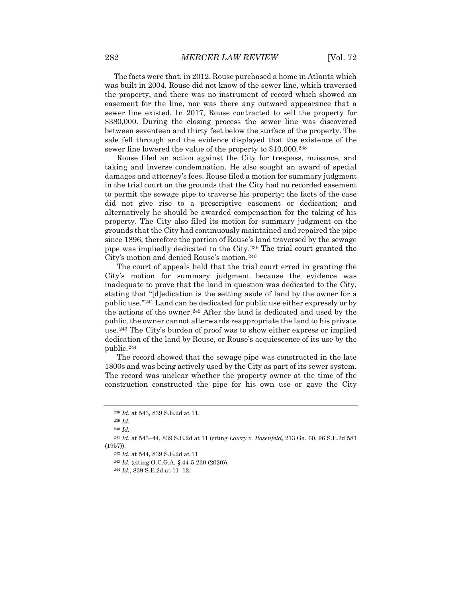The facts were that, in 2012, Rouse purchased a home in Atlanta which was built in 2004. Rouse did not know of the sewer line, which traversed the property, and there was no instrument of record which showed an easement for the line, nor was there any outward appearance that a sewer line existed. In 2017, Rouse contracted to sell the property for \$380,000. During the closing process the sewer line was discovered between seventeen and thirty feet below the surface of the property. The sale fell through and the evidence displayed that the existence of the sewer line lowered the value of the property to \$10,000.<sup>[238](#page-28-0)</sup>

Rouse filed an action against the City for trespass, nuisance, and taking and inverse condemnation. He also sought an award of special damages and attorney's fees. Rouse filed a motion for summary judgment in the trial court on the grounds that the City had no recorded easement to permit the sewage pipe to traverse his property; the facts of the case did not give rise to a prescriptive easement or dedication; and alternatively he should be awarded compensation for the taking of his property. The City also filed its motion for summary judgment on the grounds that the City had continuously maintained and repaired the pipe since 1896, therefore the portion of Rouse's land traversed by the sewage pipe was impliedly dedicated to the City.[239](#page-28-1) The trial court granted the City's motion and denied Rouse's motion.[240](#page-28-2)

The court of appeals held that the trial court erred in granting the City's motion for summary judgment because the evidence was inadequate to prove that the land in question was dedicated to the City, stating that "[d]edication is the setting aside of land by the owner for a public use."[241](#page-28-3) Land can be dedicated for public use either expressly or by the actions of the owner.[242](#page-28-4) After the land is dedicated and used by the public, the owner cannot afterwards reappropriate the land to his private use.[243](#page-28-5) The City's burden of proof was to show either express or implied dedication of the land by Rouse, or Rouse's acquiescence of its use by the public.[244](#page-28-6)

The record showed that the sewage pipe was constructed in the late 1800s and was being actively used by the City as part of its sewer system. The record was unclear whether the property owner at the time of the construction constructed the pipe for his own use or gave the City

<sup>238</sup> *Id.* at 543, 839 S.E.2d at 11.

<sup>239</sup> *Id.* 

<sup>240</sup> *Id.*

<span id="page-28-6"></span><span id="page-28-5"></span><span id="page-28-4"></span><span id="page-28-3"></span><span id="page-28-2"></span><span id="page-28-1"></span><span id="page-28-0"></span><sup>241</sup> *Id.* at 543–44, 839 S.E.2d at 11 (citing *Lowry v. Rosenfeld*, 213 Ga. 60, 96 S.E.2d 581 (1957)).

<sup>242</sup> *Id.* at 544, 839 S.E.2d at 11

<sup>243</sup> *Id.* (citing O.C.G.A. § 44-5-230 (2020)).

<sup>244</sup> *Id.*, 839 S.E.2d at 11–12.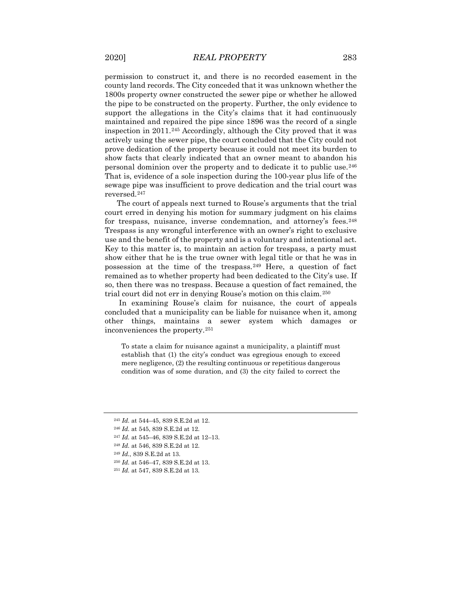permission to construct it, and there is no recorded easement in the county land records. The City conceded that it was unknown whether the 1800s property owner constructed the sewer pipe or whether he allowed the pipe to be constructed on the property. Further, the only evidence to support the allegations in the City's claims that it had continuously maintained and repaired the pipe since 1896 was the record of a single inspection in 2011.[245](#page-29-0) Accordingly, although the City proved that it was actively using the sewer pipe, the court concluded that the City could not prove dedication of the property because it could not meet its burden to show facts that clearly indicated that an owner meant to abandon his personal dominion over the property and to dedicate it to public use.[246](#page-29-1) That is, evidence of a sole inspection during the 100-year plus life of the sewage pipe was insufficient to prove dedication and the trial court was reversed.[247](#page-29-2)

The court of appeals next turned to Rouse's arguments that the trial court erred in denying his motion for summary judgment on his claims for trespass, nuisance, inverse condemnation, and attorney's fees.<sup>[248](#page-29-3)</sup> Trespass is any wrongful interference with an owner's right to exclusive use and the benefit of the property and is a voluntary and intentional act. Key to this matter is, to maintain an action for trespass, a party must show either that he is the true owner with legal title or that he was in possession at the time of the trespass.[249](#page-29-4) Here, a question of fact remained as to whether property had been dedicated to the City's use. If so, then there was no trespass. Because a question of fact remained, the trial court did not err in denying Rouse's motion on this claim.[250](#page-29-5)

In examining Rouse's claim for nuisance, the court of appeals concluded that a municipality can be liable for nuisance when it, among other things, maintains a sewer system which damages or inconveniences the property.[251](#page-29-6)

To state a claim for nuisance against a municipality, a plaintiff must establish that (1) the city's conduct was egregious enough to exceed mere negligence, (2) the resulting continuous or repetitious dangerous condition was of some duration, and (3) the city failed to correct the

- <span id="page-29-2"></span><sup>247</sup> *Id.* at 545–46, 839 S.E.2d at 12–13.
- <span id="page-29-3"></span><sup>248</sup> *Id.* at 546, 839 S.E.2d at 12.
- <span id="page-29-4"></span><sup>249</sup> *Id.*, 839 S.E.2d at 13.
- <span id="page-29-6"></span><span id="page-29-5"></span><sup>250</sup> *Id.* at 546–47, 839 S.E.2d at 13.
- <sup>251</sup> *Id.* at 547, 839 S.E.2d at 13.

<span id="page-29-0"></span><sup>245</sup> *Id.* at 544–45, 839 S.E.2d at 12.

<span id="page-29-1"></span><sup>246</sup> *Id.* at 545, 839 S.E.2d at 12.